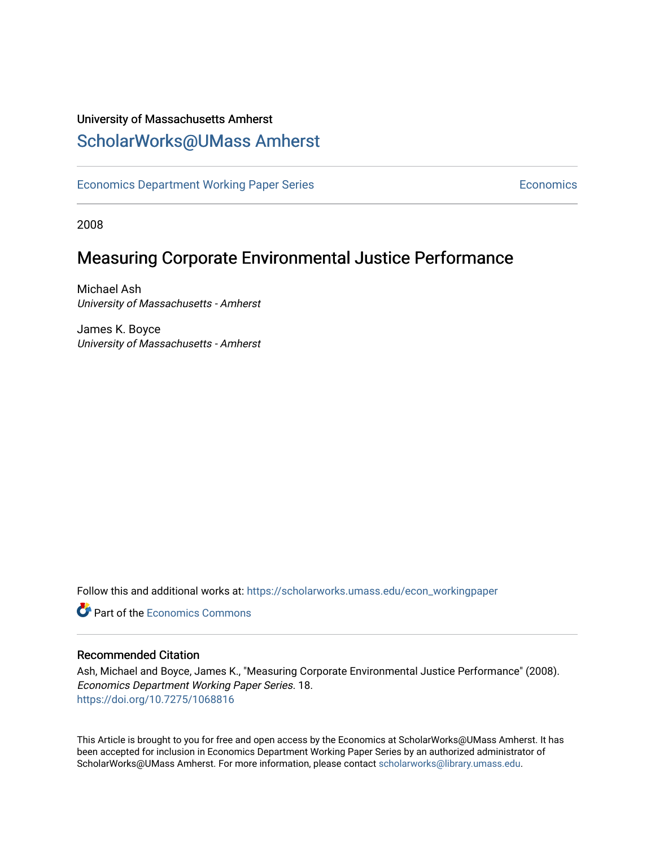# University of Massachusetts Amherst [ScholarWorks@UMass Amherst](https://scholarworks.umass.edu/)

[Economics Department Working Paper Series](https://scholarworks.umass.edu/econ_workingpaper) **Economics** Economics

2008

# Measuring Corporate Environmental Justice Performance

Michael Ash University of Massachusetts - Amherst

James K. Boyce University of Massachusetts - Amherst

Follow this and additional works at: [https://scholarworks.umass.edu/econ\\_workingpaper](https://scholarworks.umass.edu/econ_workingpaper?utm_source=scholarworks.umass.edu%2Fecon_workingpaper%2F18&utm_medium=PDF&utm_campaign=PDFCoverPages) 

**C** Part of the [Economics Commons](http://network.bepress.com/hgg/discipline/340?utm_source=scholarworks.umass.edu%2Fecon_workingpaper%2F18&utm_medium=PDF&utm_campaign=PDFCoverPages)

#### Recommended Citation

Ash, Michael and Boyce, James K., "Measuring Corporate Environmental Justice Performance" (2008). Economics Department Working Paper Series. 18. <https://doi.org/10.7275/1068816>

This Article is brought to you for free and open access by the Economics at ScholarWorks@UMass Amherst. It has been accepted for inclusion in Economics Department Working Paper Series by an authorized administrator of ScholarWorks@UMass Amherst. For more information, please contact [scholarworks@library.umass.edu.](mailto:scholarworks@library.umass.edu)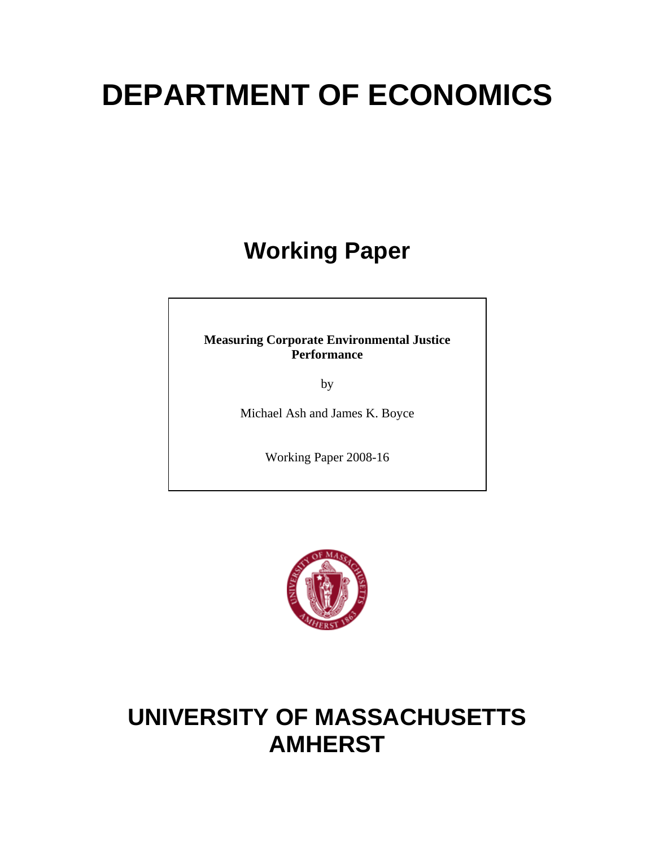# **DEPARTMENT OF ECONOMICS**

# **Working Paper**

**Measuring Corporate Environmental Justice Performance** 

by

Michael Ash and James K. Boyce

Working Paper 2008-16



# **UNIVERSITY OF MASSACHUSETTS AMHERST**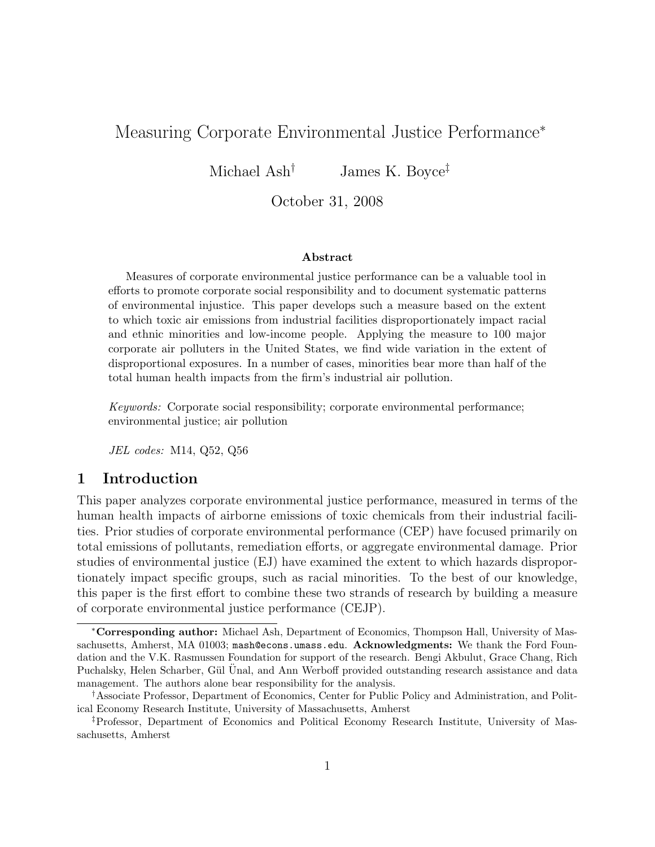## Measuring Corporate Environmental Justice Performance<sup>∗</sup>

Michael Ash<sup>†</sup> James K. Boyce<sup>‡</sup>

October 31, 2008

#### Abstract

Measures of corporate environmental justice performance can be a valuable tool in efforts to promote corporate social responsibility and to document systematic patterns of environmental injustice. This paper develops such a measure based on the extent to which toxic air emissions from industrial facilities disproportionately impact racial and ethnic minorities and low-income people. Applying the measure to 100 major corporate air polluters in the United States, we find wide variation in the extent of disproportional exposures. In a number of cases, minorities bear more than half of the total human health impacts from the firm's industrial air pollution.

Keywords: Corporate social responsibility; corporate environmental performance; environmental justice; air pollution

JEL codes: M14, Q52, Q56

#### 1 Introduction

This paper analyzes corporate environmental justice performance, measured in terms of the human health impacts of airborne emissions of toxic chemicals from their industrial facilities. Prior studies of corporate environmental performance (CEP) have focused primarily on total emissions of pollutants, remediation efforts, or aggregate environmental damage. Prior studies of environmental justice (EJ) have examined the extent to which hazards disproportionately impact specific groups, such as racial minorities. To the best of our knowledge, this paper is the first effort to combine these two strands of research by building a measure of corporate environmental justice performance (CEJP).

<sup>∗</sup>Corresponding author: Michael Ash, Department of Economics, Thompson Hall, University of Massachusetts, Amherst, MA 01003; mash@econs.umass.edu. Acknowledgments: We thank the Ford Foundation and the V.K. Rasmussen Foundation for support of the research. Bengi Akbulut, Grace Chang, Rich Puchalsky, Helen Scharber, Gül Unal, and Ann Werboff provided outstanding research assistance and data management. The authors alone bear responsibility for the analysis.

<sup>†</sup>Associate Professor, Department of Economics, Center for Public Policy and Administration, and Political Economy Research Institute, University of Massachusetts, Amherst

<sup>‡</sup>Professor, Department of Economics and Political Economy Research Institute, University of Massachusetts, Amherst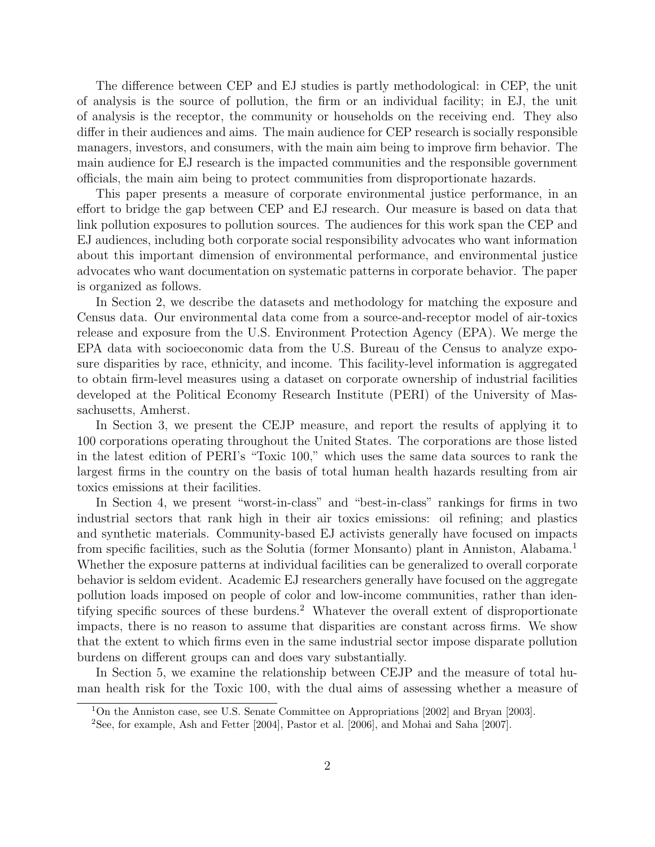The difference between CEP and EJ studies is partly methodological: in CEP, the unit of analysis is the source of pollution, the firm or an individual facility; in EJ, the unit of analysis is the receptor, the community or households on the receiving end. They also differ in their audiences and aims. The main audience for CEP research is socially responsible managers, investors, and consumers, with the main aim being to improve firm behavior. The main audience for EJ research is the impacted communities and the responsible government officials, the main aim being to protect communities from disproportionate hazards.

This paper presents a measure of corporate environmental justice performance, in an effort to bridge the gap between CEP and EJ research. Our measure is based on data that link pollution exposures to pollution sources. The audiences for this work span the CEP and EJ audiences, including both corporate social responsibility advocates who want information about this important dimension of environmental performance, and environmental justice advocates who want documentation on systematic patterns in corporate behavior. The paper is organized as follows.

In Section [2,](#page-4-0) we describe the datasets and methodology for matching the exposure and Census data. Our environmental data come from a source-and-receptor model of air-toxics release and exposure from the U.S. Environment Protection Agency (EPA). We merge the EPA data with socioeconomic data from the U.S. Bureau of the Census to analyze exposure disparities by race, ethnicity, and income. This facility-level information is aggregated to obtain firm-level measures using a dataset on corporate ownership of industrial facilities developed at the Political Economy Research Institute (PERI) of the University of Massachusetts, Amherst.

In Section [3,](#page-11-0) we present the CEJP measure, and report the results of applying it to 100 corporations operating throughout the United States. The corporations are those listed in the latest edition of PERI's "Toxic 100," which uses the same data sources to rank the largest firms in the country on the basis of total human health hazards resulting from air toxics emissions at their facilities.

In Section [4,](#page-14-0) we present "worst-in-class" and "best-in-class" rankings for firms in two industrial sectors that rank high in their air toxics emissions: oil refining; and plastics and synthetic materials. Community-based EJ activists generally have focused on impacts from specific facilities, such as the Solutia (former Monsanto) plant in Anniston, Alabama.<sup>1</sup> Whether the exposure patterns at individual facilities can be generalized to overall corporate behavior is seldom evident. Academic EJ researchers generally have focused on the aggregate pollution loads imposed on people of color and low-income communities, rather than identifying specific sources of these burdens.<sup>2</sup> Whatever the overall extent of disproportionate impacts, there is no reason to assume that disparities are constant across firms. We show that the extent to which firms even in the same industrial sector impose disparate pollution burdens on different groups can and does vary substantially.

In Section [5,](#page-14-1) we examine the relationship between CEJP and the measure of total human health risk for the Toxic 100, with the dual aims of assessing whether a measure of

<sup>1</sup>On the Anniston case, see [U.S. Senate Committee on Appropriations](#page-17-0) [\[2002\]](#page-17-0) and [Bryan](#page-16-0) [\[2003\]](#page-16-0).

<sup>2</sup>See, for example, [Ash and Fetter](#page-16-1) [\[2004\]](#page-16-1), [Pastor et al.](#page-17-1) [\[2006\]](#page-17-1), and [Mohai and Saha](#page-17-2) [\[2007\]](#page-17-2).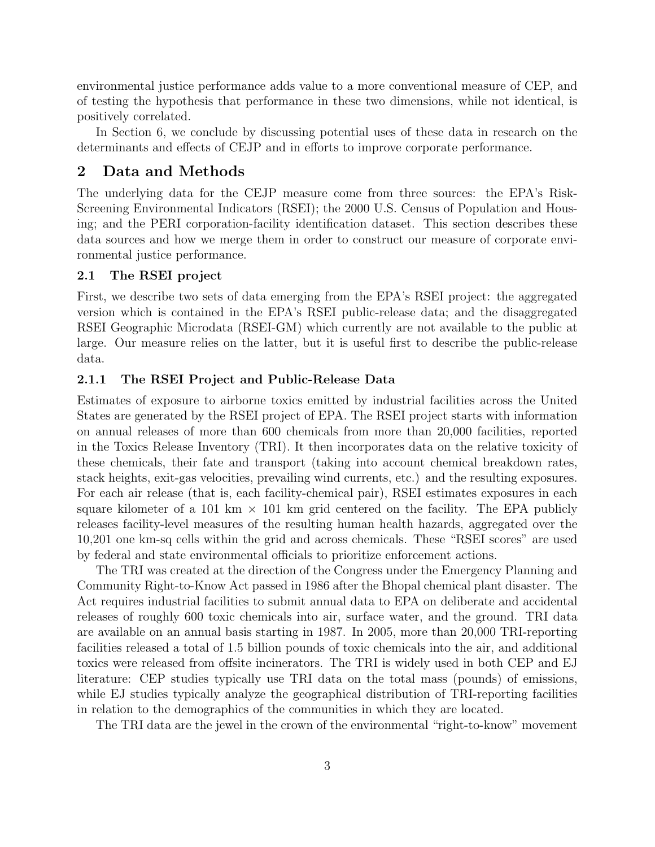environmental justice performance adds value to a more conventional measure of CEP, and of testing the hypothesis that performance in these two dimensions, while not identical, is positively correlated.

In Section [6,](#page-15-0) we conclude by discussing potential uses of these data in research on the determinants and effects of CEJP and in efforts to improve corporate performance.

#### <span id="page-4-0"></span>2 Data and Methods

The underlying data for the CEJP measure come from three sources: the EPA's Risk-Screening Environmental Indicators (RSEI); the 2000 U.S. Census of Population and Housing; and the PERI corporation-facility identification dataset. This section describes these data sources and how we merge them in order to construct our measure of corporate environmental justice performance.

#### 2.1 The RSEI project

First, we describe two sets of data emerging from the EPA's RSEI project: the aggregated version which is contained in the EPA's RSEI public-release data; and the disaggregated RSEI Geographic Microdata (RSEI-GM) which currently are not available to the public at large. Our measure relies on the latter, but it is useful first to describe the public-release data.

#### 2.1.1 The RSEI Project and Public-Release Data

Estimates of exposure to airborne toxics emitted by industrial facilities across the United States are generated by the RSEI project of EPA. The RSEI project starts with information on annual releases of more than 600 chemicals from more than 20,000 facilities, reported in the Toxics Release Inventory (TRI). It then incorporates data on the relative toxicity of these chemicals, their fate and transport (taking into account chemical breakdown rates, stack heights, exit-gas velocities, prevailing wind currents, etc.) and the resulting exposures. For each air release (that is, each facility-chemical pair), RSEI estimates exposures in each square kilometer of a 101 km  $\times$  101 km grid centered on the facility. The EPA publicly releases facility-level measures of the resulting human health hazards, aggregated over the 10,201 one km-sq cells within the grid and across chemicals. These "RSEI scores" are used by federal and state environmental officials to prioritize enforcement actions.

The TRI was created at the direction of the Congress under the Emergency Planning and Community Right-to-Know Act passed in 1986 after the Bhopal chemical plant disaster. The Act requires industrial facilities to submit annual data to EPA on deliberate and accidental releases of roughly 600 toxic chemicals into air, surface water, and the ground. TRI data are available on an annual basis starting in 1987. In 2005, more than 20,000 TRI-reporting facilities released a total of 1.5 billion pounds of toxic chemicals into the air, and additional toxics were released from offsite incinerators. The TRI is widely used in both CEP and EJ literature: CEP studies typically use TRI data on the total mass (pounds) of emissions, while EJ studies typically analyze the geographical distribution of TRI-reporting facilities in relation to the demographics of the communities in which they are located.

The TRI data are the jewel in the crown of the environmental "right-to-know" movement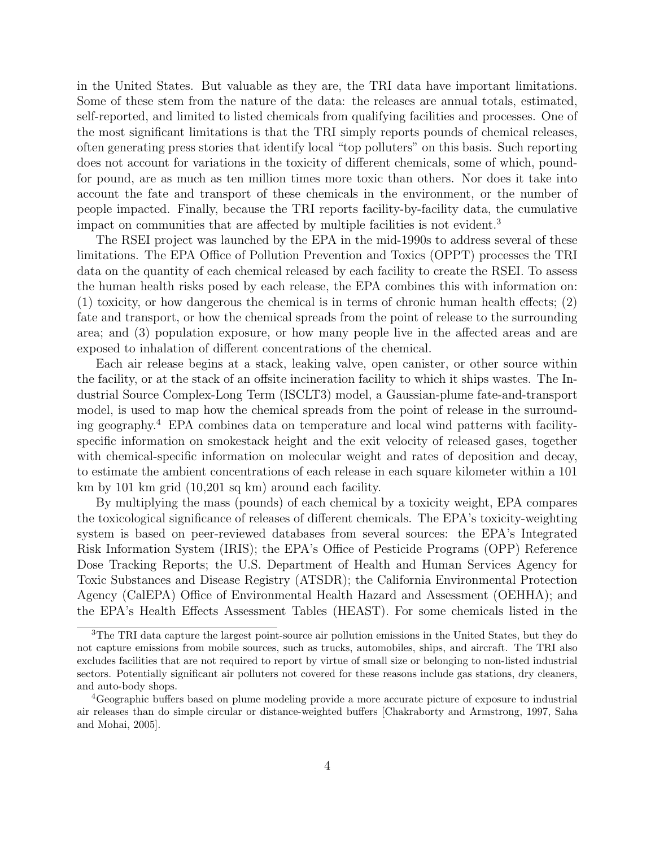in the United States. But valuable as they are, the TRI data have important limitations. Some of these stem from the nature of the data: the releases are annual totals, estimated, self-reported, and limited to listed chemicals from qualifying facilities and processes. One of the most significant limitations is that the TRI simply reports pounds of chemical releases, often generating press stories that identify local "top polluters" on this basis. Such reporting does not account for variations in the toxicity of different chemicals, some of which, poundfor pound, are as much as ten million times more toxic than others. Nor does it take into account the fate and transport of these chemicals in the environment, or the number of people impacted. Finally, because the TRI reports facility-by-facility data, the cumulative impact on communities that are affected by multiple facilities is not evident.<sup>3</sup>

The RSEI project was launched by the EPA in the mid-1990s to address several of these limitations. The EPA Office of Pollution Prevention and Toxics (OPPT) processes the TRI data on the quantity of each chemical released by each facility to create the RSEI. To assess the human health risks posed by each release, the EPA combines this with information on: (1) toxicity, or how dangerous the chemical is in terms of chronic human health effects; (2) fate and transport, or how the chemical spreads from the point of release to the surrounding area; and (3) population exposure, or how many people live in the affected areas and are exposed to inhalation of different concentrations of the chemical.

Each air release begins at a stack, leaking valve, open canister, or other source within the facility, or at the stack of an offsite incineration facility to which it ships wastes. The Industrial Source Complex-Long Term (ISCLT3) model, a Gaussian-plume fate-and-transport model, is used to map how the chemical spreads from the point of release in the surrounding geography.<sup>4</sup> EPA combines data on temperature and local wind patterns with facilityspecific information on smokestack height and the exit velocity of released gases, together with chemical-specific information on molecular weight and rates of deposition and decay, to estimate the ambient concentrations of each release in each square kilometer within a 101 km by 101 km grid (10,201 sq km) around each facility.

By multiplying the mass (pounds) of each chemical by a toxicity weight, EPA compares the toxicological significance of releases of different chemicals. The EPA's toxicity-weighting system is based on peer-reviewed databases from several sources: the EPA's Integrated Risk Information System (IRIS); the EPA's Office of Pesticide Programs (OPP) Reference Dose Tracking Reports; the U.S. Department of Health and Human Services Agency for Toxic Substances and Disease Registry (ATSDR); the California Environmental Protection Agency (CalEPA) Office of Environmental Health Hazard and Assessment (OEHHA); and the EPA's Health Effects Assessment Tables (HEAST). For some chemicals listed in the

<sup>3</sup>The TRI data capture the largest point-source air pollution emissions in the United States, but they do not capture emissions from mobile sources, such as trucks, automobiles, ships, and aircraft. The TRI also excludes facilities that are not required to report by virtue of small size or belonging to non-listed industrial sectors. Potentially significant air polluters not covered for these reasons include gas stations, dry cleaners, and auto-body shops.

<sup>&</sup>lt;sup>4</sup>Geographic buffers based on plume modeling provide a more accurate picture of exposure to industrial air releases than do simple circular or distance-weighted buffers [\[Chakraborty and Armstrong,](#page-16-2) [1997,](#page-16-2) [Saha](#page-17-3) [and Mohai,](#page-17-3) [2005\]](#page-17-3).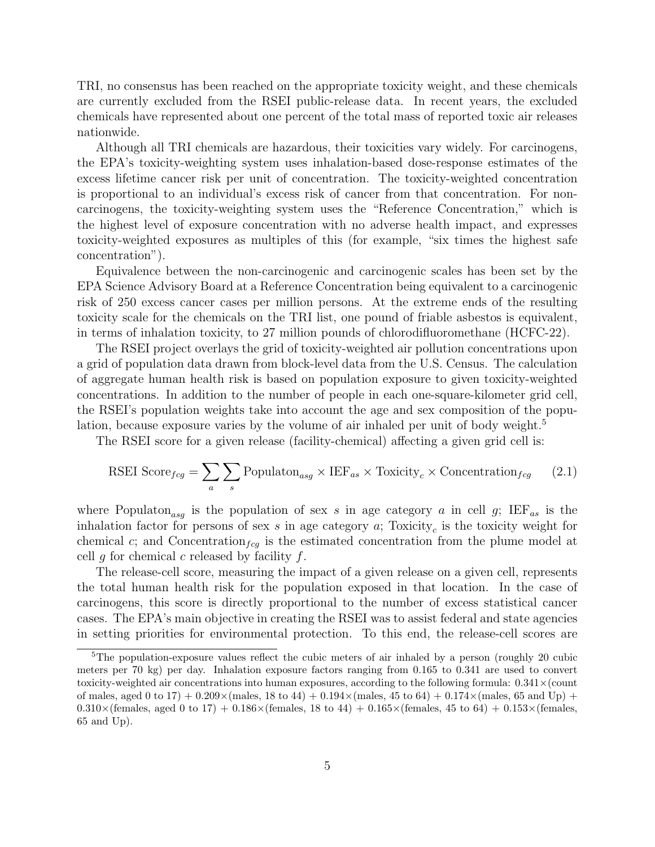TRI, no consensus has been reached on the appropriate toxicity weight, and these chemicals are currently excluded from the RSEI public-release data. In recent years, the excluded chemicals have represented about one percent of the total mass of reported toxic air releases nationwide.

Although all TRI chemicals are hazardous, their toxicities vary widely. For carcinogens, the EPA's toxicity-weighting system uses inhalation-based dose-response estimates of the excess lifetime cancer risk per unit of concentration. The toxicity-weighted concentration is proportional to an individual's excess risk of cancer from that concentration. For noncarcinogens, the toxicity-weighting system uses the "Reference Concentration," which is the highest level of exposure concentration with no adverse health impact, and expresses toxicity-weighted exposures as multiples of this (for example, "six times the highest safe concentration").

Equivalence between the non-carcinogenic and carcinogenic scales has been set by the EPA Science Advisory Board at a Reference Concentration being equivalent to a carcinogenic risk of 250 excess cancer cases per million persons. At the extreme ends of the resulting toxicity scale for the chemicals on the TRI list, one pound of friable asbestos is equivalent, in terms of inhalation toxicity, to 27 million pounds of chlorodifluoromethane (HCFC-22).

The RSEI project overlays the grid of toxicity-weighted air pollution concentrations upon a grid of population data drawn from block-level data from the U.S. Census. The calculation of aggregate human health risk is based on population exposure to given toxicity-weighted concentrations. In addition to the number of people in each one-square-kilometer grid cell, the RSEI's population weights take into account the age and sex composition of the population, because exposure varies by the volume of air inhaled per unit of body weight.<sup>5</sup>

The RSEI score for a given release (facility-chemical) affecting a given grid cell is:

$$
\text{RSEI Score}_{fcg} = \sum_{a} \sum_{s} \text{Population}_{asg} \times \text{IEF}_{as} \times \text{Toxicity}_{c} \times \text{Concentration}_{fcg} \tag{2.1}
$$

where Populaton<sub>asg</sub> is the population of sex s in age category a in cell g; IEF<sub>as</sub> is the inhalation factor for persons of sex s in age category  $a$ ; Toxicity<sub>c</sub> is the toxicity weight for chemical c; and Concentration<sub>fcg</sub> is the estimated concentration from the plume model at cell g for chemical c released by facility  $f$ .

The release-cell score, measuring the impact of a given release on a given cell, represents the total human health risk for the population exposed in that location. In the case of carcinogens, this score is directly proportional to the number of excess statistical cancer cases. The EPA's main objective in creating the RSEI was to assist federal and state agencies in setting priorities for environmental protection. To this end, the release-cell scores are

<sup>&</sup>lt;sup>5</sup>The population-exposure values reflect the cubic meters of air inhaled by a person (roughly 20 cubic meters per 70 kg) per day. Inhalation exposure factors ranging from 0.165 to 0.341 are used to convert toxicity-weighted air concentrations into human exposures, according to the following formula:  $0.341 \times$ (count of males, aged 0 to 17) +  $0.209 \times$  (males, 18 to 44) +  $0.194 \times$  (males, 45 to 64) +  $0.174 \times$  (males, 65 and Up) +  $0.310\times$  (females, aged 0 to 17) +  $0.186\times$  (females, 18 to 44) +  $0.165\times$  (females, 45 to 64) +  $0.153\times$  (females, 65 and Up).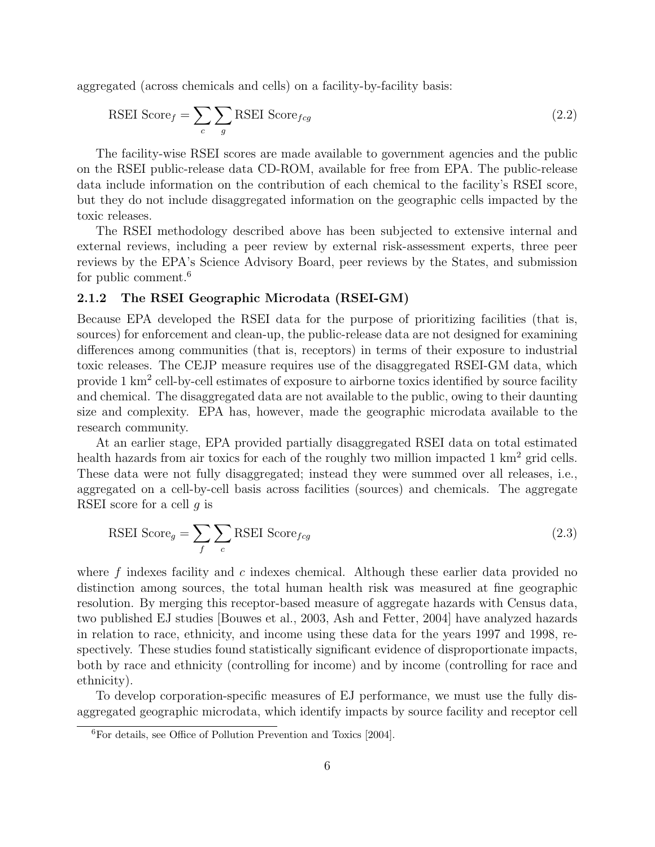aggregated (across chemicals and cells) on a facility-by-facility basis:

$$
\text{RSEI Score}_{f} = \sum_{c} \sum_{g} \text{RSEI Score}_{fcg} \tag{2.2}
$$

The facility-wise RSEI scores are made available to government agencies and the public on the RSEI public-release data CD-ROM, available for free from EPA. The public-release data include information on the contribution of each chemical to the facility's RSEI score, but they do not include disaggregated information on the geographic cells impacted by the toxic releases.

The RSEI methodology described above has been subjected to extensive internal and external reviews, including a peer review by external risk-assessment experts, three peer reviews by the EPA's Science Advisory Board, peer reviews by the States, and submission for public comment.<sup>6</sup>

#### 2.1.2 The RSEI Geographic Microdata (RSEI-GM)

Because EPA developed the RSEI data for the purpose of prioritizing facilities (that is, sources) for enforcement and clean-up, the public-release data are not designed for examining differences among communities (that is, receptors) in terms of their exposure to industrial toxic releases. The CEJP measure requires use of the disaggregated RSEI-GM data, which provide 1 km<sup>2</sup> cell-by-cell estimates of exposure to airborne toxics identified by source facility and chemical. The disaggregated data are not available to the public, owing to their daunting size and complexity. EPA has, however, made the geographic microdata available to the research community.

At an earlier stage, EPA provided partially disaggregated RSEI data on total estimated health hazards from air toxics for each of the roughly two million impacted 1 km<sup>2</sup> grid cells. These data were not fully disaggregated; instead they were summed over all releases, i.e., aggregated on a cell-by-cell basis across facilities (sources) and chemicals. The aggregate RSEI score for a cell g is

$$
\text{RSEI Score}_g = \sum_{f} \sum_{c} \text{RSEI Score}_{fcg} \tag{2.3}
$$

where f indexes facility and c indexes chemical. Although these earlier data provided no distinction among sources, the total human health risk was measured at fine geographic resolution. By merging this receptor-based measure of aggregate hazards with Census data, two published EJ studies [\[Bouwes et al.,](#page-16-3) [2003,](#page-16-3) [Ash and Fetter,](#page-16-1) [2004\]](#page-16-1) have analyzed hazards in relation to race, ethnicity, and income using these data for the years 1997 and 1998, respectively. These studies found statistically significant evidence of disproportionate impacts, both by race and ethnicity (controlling for income) and by income (controlling for race and ethnicity).

To develop corporation-specific measures of EJ performance, we must use the fully disaggregated geographic microdata, which identify impacts by source facility and receptor cell

<sup>6</sup>For details, see [Office of Pollution Prevention and Toxics](#page-17-4) [\[2004\]](#page-17-4).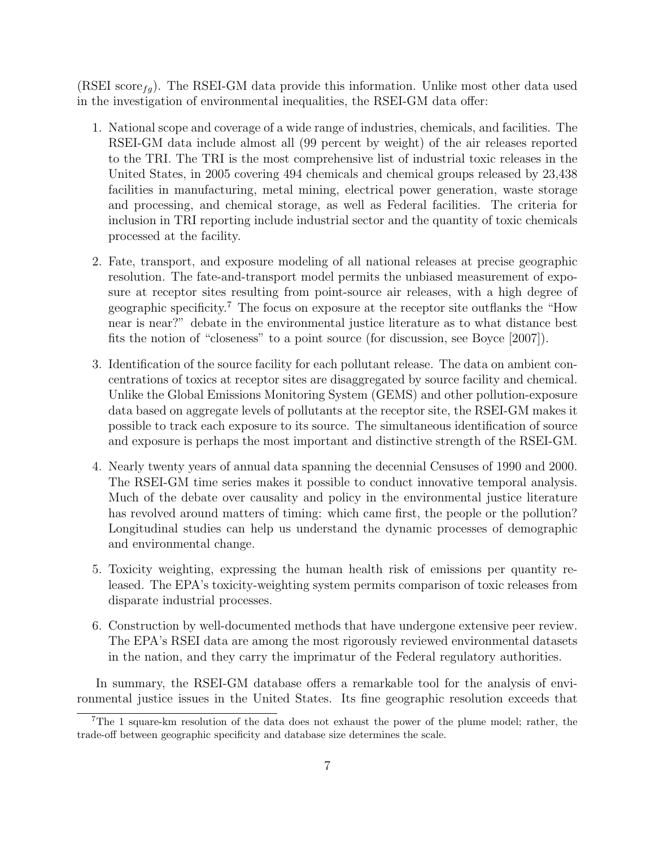(RSEI score<sub>fg</sub>). The RSEI-GM data provide this information. Unlike most other data used in the investigation of environmental inequalities, the RSEI-GM data offer:

- 1. National scope and coverage of a wide range of industries, chemicals, and facilities. The RSEI-GM data include almost all (99 percent by weight) of the air releases reported to the TRI. The TRI is the most comprehensive list of industrial toxic releases in the United States, in 2005 covering 494 chemicals and chemical groups released by 23,438 facilities in manufacturing, metal mining, electrical power generation, waste storage and processing, and chemical storage, as well as Federal facilities. The criteria for inclusion in TRI reporting include industrial sector and the quantity of toxic chemicals processed at the facility.
- 2. Fate, transport, and exposure modeling of all national releases at precise geographic resolution. The fate-and-transport model permits the unbiased measurement of exposure at receptor sites resulting from point-source air releases, with a high degree of geographic specificity.<sup>7</sup> The focus on exposure at the receptor site outflanks the "How near is near?" debate in the environmental justice literature as to what distance best fits the notion of "closeness" to a point source (for discussion, see [Boyce](#page-16-4) [\[2007\]](#page-16-4)).
- 3. Identification of the source facility for each pollutant release. The data on ambient concentrations of toxics at receptor sites are disaggregated by source facility and chemical. Unlike the Global Emissions Monitoring System (GEMS) and other pollution-exposure data based on aggregate levels of pollutants at the receptor site, the RSEI-GM makes it possible to track each exposure to its source. The simultaneous identification of source and exposure is perhaps the most important and distinctive strength of the RSEI-GM.
- 4. Nearly twenty years of annual data spanning the decennial Censuses of 1990 and 2000. The RSEI-GM time series makes it possible to conduct innovative temporal analysis. Much of the debate over causality and policy in the environmental justice literature has revolved around matters of timing: which came first, the people or the pollution? Longitudinal studies can help us understand the dynamic processes of demographic and environmental change.
- 5. Toxicity weighting, expressing the human health risk of emissions per quantity released. The EPA's toxicity-weighting system permits comparison of toxic releases from disparate industrial processes.
- 6. Construction by well-documented methods that have undergone extensive peer review. The EPA's RSEI data are among the most rigorously reviewed environmental datasets in the nation, and they carry the imprimatur of the Federal regulatory authorities.

In summary, the RSEI-GM database offers a remarkable tool for the analysis of environmental justice issues in the United States. Its fine geographic resolution exceeds that

<sup>7</sup>The 1 square-km resolution of the data does not exhaust the power of the plume model; rather, the trade-off between geographic specificity and database size determines the scale.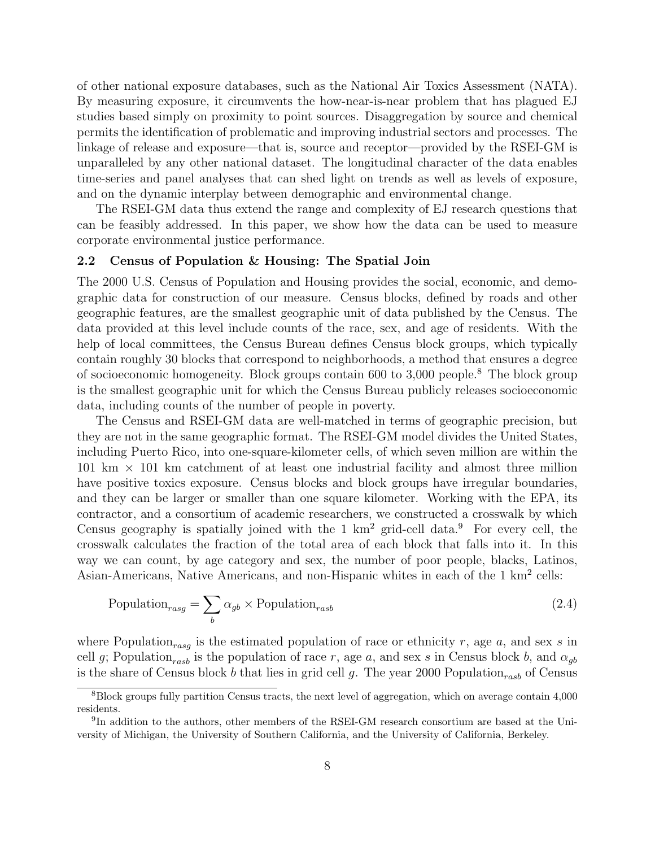of other national exposure databases, such as the National Air Toxics Assessment (NATA). By measuring exposure, it circumvents the how-near-is-near problem that has plagued EJ studies based simply on proximity to point sources. Disaggregation by source and chemical permits the identification of problematic and improving industrial sectors and processes. The linkage of release and exposure—that is, source and receptor—provided by the RSEI-GM is unparalleled by any other national dataset. The longitudinal character of the data enables time-series and panel analyses that can shed light on trends as well as levels of exposure, and on the dynamic interplay between demographic and environmental change.

The RSEI-GM data thus extend the range and complexity of EJ research questions that can be feasibly addressed. In this paper, we show how the data can be used to measure corporate environmental justice performance.

#### 2.2 Census of Population & Housing: The Spatial Join

The 2000 U.S. Census of Population and Housing provides the social, economic, and demographic data for construction of our measure. Census blocks, defined by roads and other geographic features, are the smallest geographic unit of data published by the Census. The data provided at this level include counts of the race, sex, and age of residents. With the help of local committees, the Census Bureau defines Census block groups, which typically contain roughly 30 blocks that correspond to neighborhoods, a method that ensures a degree of socioeconomic homogeneity. Block groups contain 600 to  $3,000$  people.<sup>8</sup> The block group is the smallest geographic unit for which the Census Bureau publicly releases socioeconomic data, including counts of the number of people in poverty.

The Census and RSEI-GM data are well-matched in terms of geographic precision, but they are not in the same geographic format. The RSEI-GM model divides the United States, including Puerto Rico, into one-square-kilometer cells, of which seven million are within the  $101 \text{ km} \times 101 \text{ km}$  catchment of at least one industrial facility and almost three million have positive toxics exposure. Census blocks and block groups have irregular boundaries, and they can be larger or smaller than one square kilometer. Working with the EPA, its contractor, and a consortium of academic researchers, we constructed a crosswalk by which Census geography is spatially joined with the 1  $km^2$  grid-cell data.<sup>9</sup> For every cell, the crosswalk calculates the fraction of the total area of each block that falls into it. In this way we can count, by age category and sex, the number of poor people, blacks, Latinos, Asian-Americans, Native Americans, and non-Hispanic whites in each of the 1 km<sup>2</sup> cells:

Population<sub>rasg</sub> = 
$$
\sum_{b} \alpha_{gb} \times \text{Population}_{rasb}
$$
 (2.4)

where Population<sub>rasg</sub> is the estimated population of race or ethnicity r, age a, and sex s in cell g; Population<sub>rasb</sub> is the population of race r, age a, and sex s in Census block b, and  $\alpha_{gb}$ is the share of Census block b that lies in grid cell g. The year 2000 Population<sub>rasb</sub> of Census

 $8B$ lock groups fully partition Census tracts, the next level of aggregation, which on average contain 4,000 residents.

<sup>&</sup>lt;sup>9</sup>In addition to the authors, other members of the RSEI-GM research consortium are based at the University of Michigan, the University of Southern California, and the University of California, Berkeley.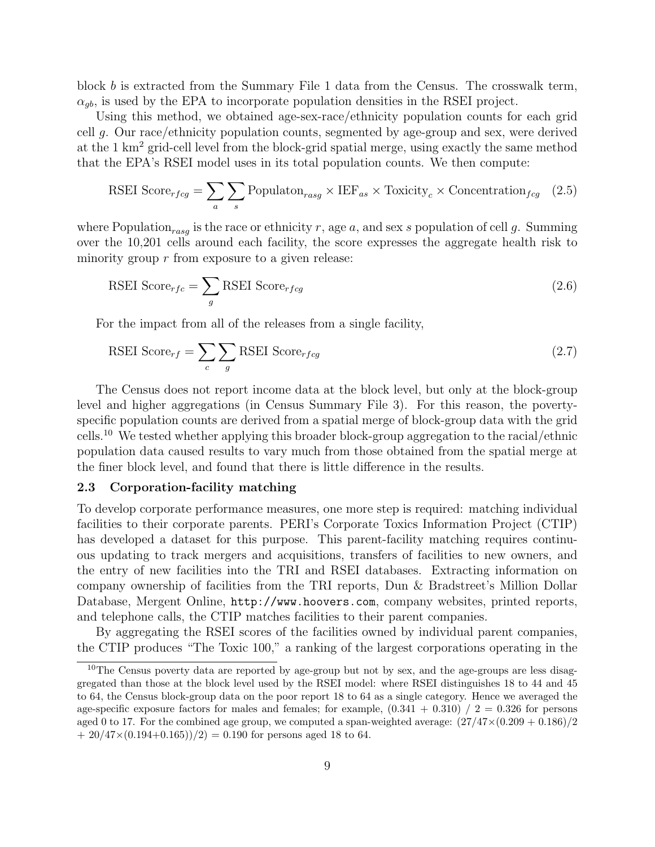block b is extracted from the Summary File 1 data from the Census. The crosswalk term,  $\alpha_{ab}$ , is used by the EPA to incorporate population densities in the RSEI project.

Using this method, we obtained age-sex-race/ethnicity population counts for each grid cell g. Our race/ethnicity population counts, segmented by age-group and sex, were derived at the 1 km<sup>2</sup> grid-cell level from the block-grid spatial merge, using exactly the same method that the EPA's RSEI model uses in its total population counts. We then compute:

RSEI Score<sub>rfcg</sub> = 
$$
\sum_{a} \sum_{s}
$$
 Population<sub>rasg</sub> × IEF<sub>as</sub> × Toxicity<sub>c</sub> × Concentration<sub>fcg</sub> (2.5)

where Population<sub>rass</sub> is the race or ethnicity r, age a, and sex s population of cell g. Summing over the 10,201 cells around each facility, the score expresses the aggregate health risk to minority group  $r$  from exposure to a given release:

$$
\text{RSEI Score}_{rfc} = \sum_{g} \text{RSEI Score}_{rfcg} \tag{2.6}
$$

For the impact from all of the releases from a single facility,

$$
\text{RSEI Score}_{rf} = \sum_{c} \sum_{g} \text{RSEI Score}_{rfcg} \tag{2.7}
$$

The Census does not report income data at the block level, but only at the block-group level and higher aggregations (in Census Summary File 3). For this reason, the povertyspecific population counts are derived from a spatial merge of block-group data with the grid cells.<sup>10</sup> We tested whether applying this broader block-group aggregation to the racial/ethnic population data caused results to vary much from those obtained from the spatial merge at the finer block level, and found that there is little difference in the results.

#### 2.3 Corporation-facility matching

To develop corporate performance measures, one more step is required: matching individual facilities to their corporate parents. PERI's Corporate Toxics Information Project (CTIP) has developed a dataset for this purpose. This parent-facility matching requires continuous updating to track mergers and acquisitions, transfers of facilities to new owners, and the entry of new facilities into the TRI and RSEI databases. Extracting information on company ownership of facilities from the TRI reports, Dun & Bradstreet's Million Dollar Database, Mergent Online, <http://www.hoovers.com>, company websites, printed reports, and telephone calls, the CTIP matches facilities to their parent companies.

By aggregating the RSEI scores of the facilities owned by individual parent companies, the CTIP produces "The Toxic 100," a ranking of the largest corporations operating in the

 $10$ The Census poverty data are reported by age-group but not by sex, and the age-groups are less disaggregated than those at the block level used by the RSEI model: where RSEI distinguishes 18 to 44 and 45 to 64, the Census block-group data on the poor report 18 to 64 as a single category. Hence we averaged the age-specific exposure factors for males and females; for example,  $(0.341 + 0.310) / 2 = 0.326$  for persons aged 0 to 17. For the combined age group, we computed a span-weighted average:  $(27/47\times(0.209 + 0.186)/2$  $+ 20/47 \times (0.194 + 0.165))/2 = 0.190$  for persons aged 18 to 64.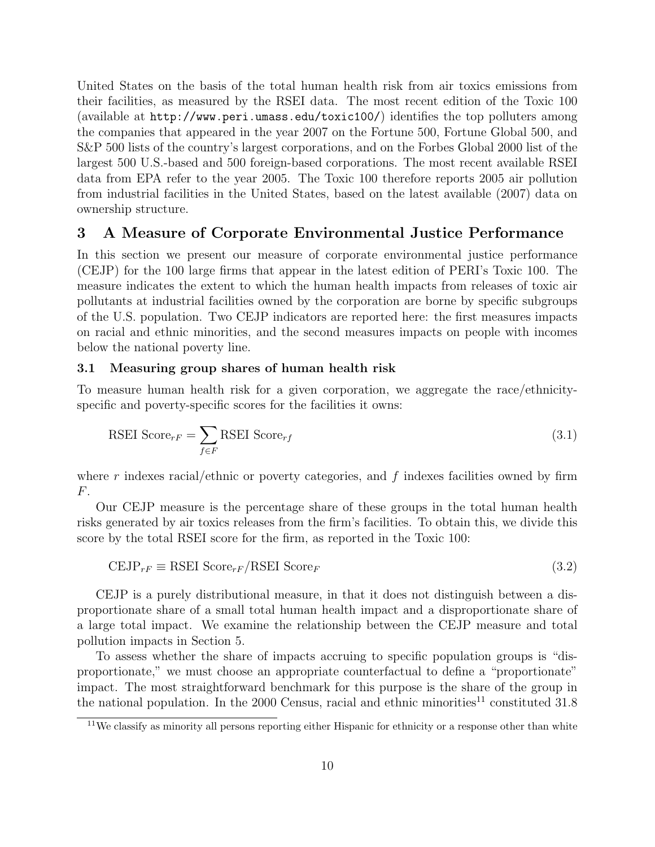United States on the basis of the total human health risk from air toxics emissions from their facilities, as measured by the RSEI data. The most recent edition of the Toxic 100 (available at <http://www.peri.umass.edu/toxic100/>) identifies the top polluters among the companies that appeared in the year 2007 on the Fortune 500, Fortune Global 500, and S&P 500 lists of the country's largest corporations, and on the Forbes Global 2000 list of the largest 500 U.S.-based and 500 foreign-based corporations. The most recent available RSEI data from EPA refer to the year 2005. The Toxic 100 therefore reports 2005 air pollution from industrial facilities in the United States, based on the latest available (2007) data on ownership structure.

#### <span id="page-11-0"></span>3 A Measure of Corporate Environmental Justice Performance

In this section we present our measure of corporate environmental justice performance (CEJP) for the 100 large firms that appear in the latest edition of PERI's Toxic 100. The measure indicates the extent to which the human health impacts from releases of toxic air pollutants at industrial facilities owned by the corporation are borne by specific subgroups of the U.S. population. Two CEJP indicators are reported here: the first measures impacts on racial and ethnic minorities, and the second measures impacts on people with incomes below the national poverty line.

#### 3.1 Measuring group shares of human health risk

To measure human health risk for a given corporation, we aggregate the race/ethnicityspecific and poverty-specific scores for the facilities it owns:

$$
\text{RSEI Score}_{rF} = \sum_{f \in F} \text{RSEI Score}_{rf} \tag{3.1}
$$

where r indexes racial/ethnic or poverty categories, and  $f$  indexes facilities owned by firm F.

Our CEJP measure is the percentage share of these groups in the total human health risks generated by air toxics releases from the firm's facilities. To obtain this, we divide this score by the total RSEI score for the firm, as reported in the Toxic 100:

$$
CEJP_{rF} \equiv RSEI Score_{rF}/RSEI Score_{F}
$$
\n(3.2)

CEJP is a purely distributional measure, in that it does not distinguish between a disproportionate share of a small total human health impact and a disproportionate share of a large total impact. We examine the relationship between the CEJP measure and total pollution impacts in Section [5.](#page-14-1)

To assess whether the share of impacts accruing to specific population groups is "disproportionate," we must choose an appropriate counterfactual to define a "proportionate" impact. The most straightforward benchmark for this purpose is the share of the group in the national population. In the 2000 Census, racial and ethnic minorities<sup>11</sup> constituted  $31.8$ 

<sup>&</sup>lt;sup>11</sup>We classify as minority all persons reporting either Hispanic for ethnicity or a response other than white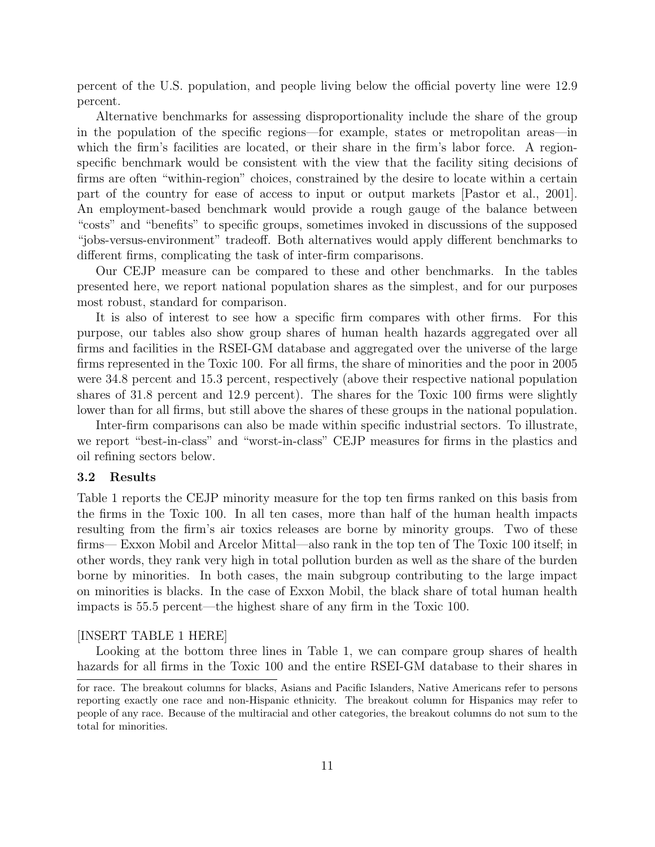percent of the U.S. population, and people living below the official poverty line were 12.9 percent.

Alternative benchmarks for assessing disproportionality include the share of the group in the population of the specific regions—for example, states or metropolitan areas—in which the firm's facilities are located, or their share in the firm's labor force. A regionspecific benchmark would be consistent with the view that the facility siting decisions of firms are often "within-region" choices, constrained by the desire to locate within a certain part of the country for ease of access to input or output markets [\[Pastor et al.,](#page-17-5) [2001\]](#page-17-5). An employment-based benchmark would provide a rough gauge of the balance between "costs" and "benefits" to specific groups, sometimes invoked in discussions of the supposed "jobs-versus-environment" tradeoff. Both alternatives would apply different benchmarks to different firms, complicating the task of inter-firm comparisons.

Our CEJP measure can be compared to these and other benchmarks. In the tables presented here, we report national population shares as the simplest, and for our purposes most robust, standard for comparison.

It is also of interest to see how a specific firm compares with other firms. For this purpose, our tables also show group shares of human health hazards aggregated over all firms and facilities in the RSEI-GM database and aggregated over the universe of the large firms represented in the Toxic 100. For all firms, the share of minorities and the poor in 2005 were 34.8 percent and 15.3 percent, respectively (above their respective national population shares of 31.8 percent and 12.9 percent). The shares for the Toxic 100 firms were slightly lower than for all firms, but still above the shares of these groups in the national population.

Inter-firm comparisons can also be made within specific industrial sectors. To illustrate, we report "best-in-class" and "worst-in-class" CEJP measures for firms in the plastics and oil refining sectors below.

#### 3.2 Results

Table 1 reports the CEJP minority measure for the top ten firms ranked on this basis from the firms in the Toxic 100. In all ten cases, more than half of the human health impacts resulting from the firm's air toxics releases are borne by minority groups. Two of these firms— Exxon Mobil and Arcelor Mittal—also rank in the top ten of The Toxic 100 itself; in other words, they rank very high in total pollution burden as well as the share of the burden borne by minorities. In both cases, the main subgroup contributing to the large impact on minorities is blacks. In the case of Exxon Mobil, the black share of total human health impacts is 55.5 percent—the highest share of any firm in the Toxic 100.

#### [INSERT TABLE 1 HERE]

Looking at the bottom three lines in Table 1, we can compare group shares of health hazards for all firms in the Toxic 100 and the entire RSEI-GM database to their shares in

for race. The breakout columns for blacks, Asians and Pacific Islanders, Native Americans refer to persons reporting exactly one race and non-Hispanic ethnicity. The breakout column for Hispanics may refer to people of any race. Because of the multiracial and other categories, the breakout columns do not sum to the total for minorities.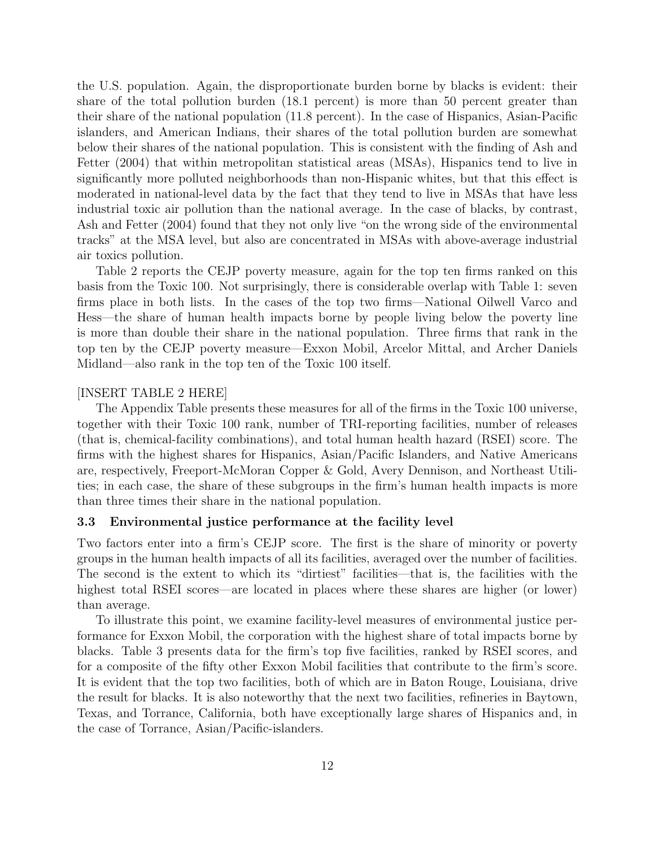the U.S. population. Again, the disproportionate burden borne by blacks is evident: their share of the total pollution burden (18.1 percent) is more than 50 percent greater than their share of the national population (11.8 percent). In the case of Hispanics, Asian-Pacific islanders, and American Indians, their shares of the total pollution burden are somewhat below their shares of the national population. This is consistent with the finding of Ash and Fetter (2004) that within metropolitan statistical areas (MSAs), Hispanics tend to live in significantly more polluted neighborhoods than non-Hispanic whites, but that this effect is moderated in national-level data by the fact that they tend to live in MSAs that have less industrial toxic air pollution than the national average. In the case of blacks, by contrast, Ash and Fetter (2004) found that they not only live "on the wrong side of the environmental tracks" at the MSA level, but also are concentrated in MSAs with above-average industrial air toxics pollution.

Table 2 reports the CEJP poverty measure, again for the top ten firms ranked on this basis from the Toxic 100. Not surprisingly, there is considerable overlap with Table 1: seven firms place in both lists. In the cases of the top two firms—National Oilwell Varco and Hess—the share of human health impacts borne by people living below the poverty line is more than double their share in the national population. Three firms that rank in the top ten by the CEJP poverty measure—Exxon Mobil, Arcelor Mittal, and Archer Daniels Midland—also rank in the top ten of the Toxic 100 itself.

#### [INSERT TABLE 2 HERE]

The Appendix Table presents these measures for all of the firms in the Toxic 100 universe, together with their Toxic 100 rank, number of TRI-reporting facilities, number of releases (that is, chemical-facility combinations), and total human health hazard (RSEI) score. The firms with the highest shares for Hispanics, Asian/Pacific Islanders, and Native Americans are, respectively, Freeport-McMoran Copper & Gold, Avery Dennison, and Northeast Utilities; in each case, the share of these subgroups in the firm's human health impacts is more than three times their share in the national population.

#### 3.3 Environmental justice performance at the facility level

Two factors enter into a firm's CEJP score. The first is the share of minority or poverty groups in the human health impacts of all its facilities, averaged over the number of facilities. The second is the extent to which its "dirtiest" facilities—that is, the facilities with the highest total RSEI scores—are located in places where these shares are higher (or lower) than average.

To illustrate this point, we examine facility-level measures of environmental justice performance for Exxon Mobil, the corporation with the highest share of total impacts borne by blacks. Table 3 presents data for the firm's top five facilities, ranked by RSEI scores, and for a composite of the fifty other Exxon Mobil facilities that contribute to the firm's score. It is evident that the top two facilities, both of which are in Baton Rouge, Louisiana, drive the result for blacks. It is also noteworthy that the next two facilities, refineries in Baytown, Texas, and Torrance, California, both have exceptionally large shares of Hispanics and, in the case of Torrance, Asian/Pacific-islanders.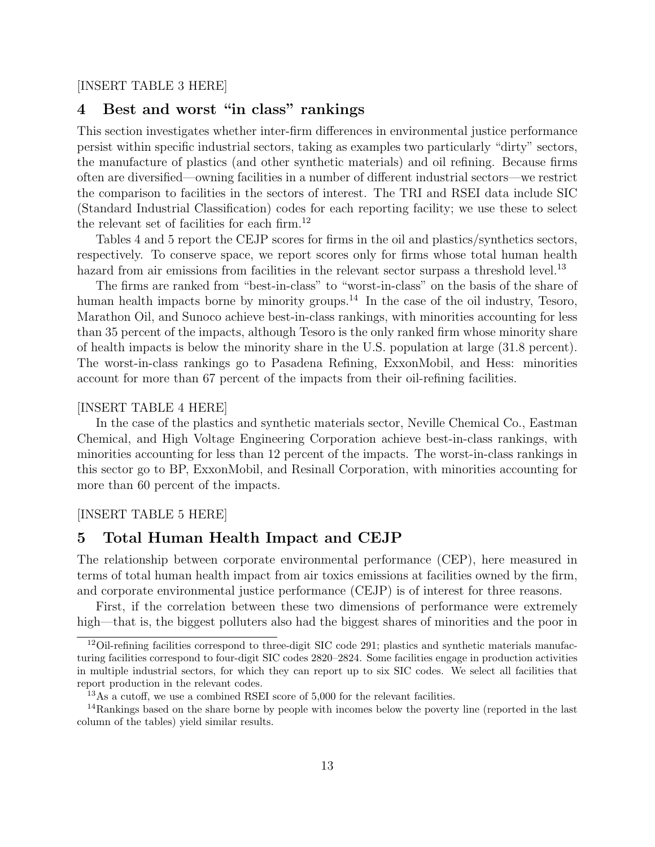#### [INSERT TABLE 3 HERE]

### <span id="page-14-0"></span>4 Best and worst "in class" rankings

This section investigates whether inter-firm differences in environmental justice performance persist within specific industrial sectors, taking as examples two particularly "dirty" sectors, the manufacture of plastics (and other synthetic materials) and oil refining. Because firms often are diversified—owning facilities in a number of different industrial sectors—we restrict the comparison to facilities in the sectors of interest. The TRI and RSEI data include SIC (Standard Industrial Classification) codes for each reporting facility; we use these to select the relevant set of facilities for each firm.<sup>12</sup>

Tables 4 and 5 report the CEJP scores for firms in the oil and plastics/synthetics sectors, respectively. To conserve space, we report scores only for firms whose total human health hazard from air emissions from facilities in the relevant sector surpass a threshold level.<sup>13</sup>

The firms are ranked from "best-in-class" to "worst-in-class" on the basis of the share of human health impacts borne by minority groups.<sup>14</sup> In the case of the oil industry, Tesoro, Marathon Oil, and Sunoco achieve best-in-class rankings, with minorities accounting for less than 35 percent of the impacts, although Tesoro is the only ranked firm whose minority share of health impacts is below the minority share in the U.S. population at large (31.8 percent). The worst-in-class rankings go to Pasadena Refining, ExxonMobil, and Hess: minorities account for more than 67 percent of the impacts from their oil-refining facilities.

#### [INSERT TABLE 4 HERE]

In the case of the plastics and synthetic materials sector, Neville Chemical Co., Eastman Chemical, and High Voltage Engineering Corporation achieve best-in-class rankings, with minorities accounting for less than 12 percent of the impacts. The worst-in-class rankings in this sector go to BP, ExxonMobil, and Resinall Corporation, with minorities accounting for more than 60 percent of the impacts.

#### [INSERT TABLE 5 HERE]

#### <span id="page-14-1"></span>5 Total Human Health Impact and CEJP

The relationship between corporate environmental performance (CEP), here measured in terms of total human health impact from air toxics emissions at facilities owned by the firm, and corporate environmental justice performance (CEJP) is of interest for three reasons.

First, if the correlation between these two dimensions of performance were extremely high—that is, the biggest polluters also had the biggest shares of minorities and the poor in

<sup>&</sup>lt;sup>12</sup>Oil-refining facilities correspond to three-digit SIC code 291; plastics and synthetic materials manufacturing facilities correspond to four-digit SIC codes 2820–2824. Some facilities engage in production activities in multiple industrial sectors, for which they can report up to six SIC codes. We select all facilities that report production in the relevant codes.

<sup>&</sup>lt;sup>13</sup>As a cutoff, we use a combined RSEI score of 5,000 for the relevant facilities.

<sup>14</sup>Rankings based on the share borne by people with incomes below the poverty line (reported in the last column of the tables) yield similar results.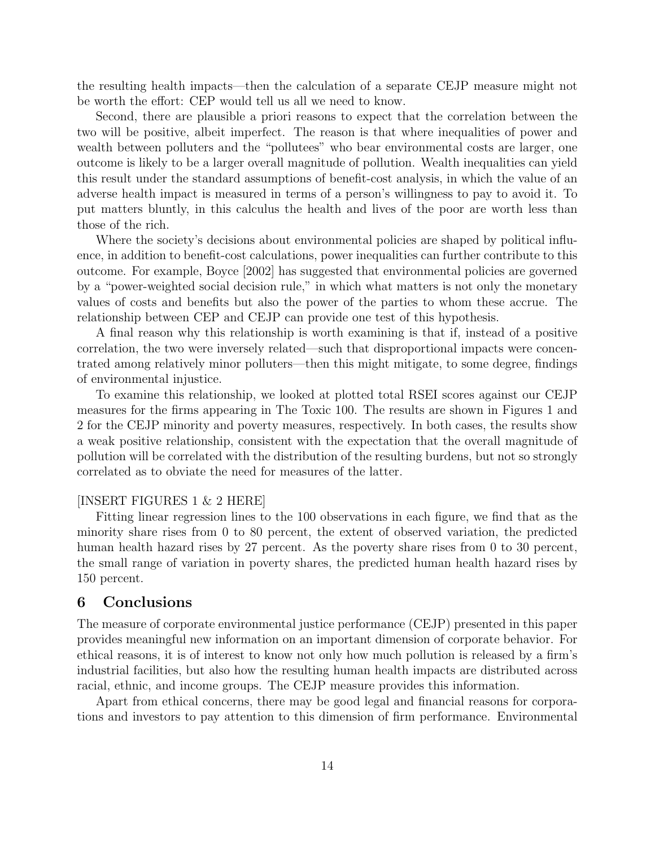the resulting health impacts—then the calculation of a separate CEJP measure might not be worth the effort: CEP would tell us all we need to know.

Second, there are plausible a priori reasons to expect that the correlation between the two will be positive, albeit imperfect. The reason is that where inequalities of power and wealth between polluters and the "pollutees" who bear environmental costs are larger, one outcome is likely to be a larger overall magnitude of pollution. Wealth inequalities can yield this result under the standard assumptions of benefit-cost analysis, in which the value of an adverse health impact is measured in terms of a person's willingness to pay to avoid it. To put matters bluntly, in this calculus the health and lives of the poor are worth less than those of the rich.

Where the society's decisions about environmental policies are shaped by political influence, in addition to benefit-cost calculations, power inequalities can further contribute to this outcome. For example, [Boyce](#page-16-5) [\[2002\]](#page-16-5) has suggested that environmental policies are governed by a "power-weighted social decision rule," in which what matters is not only the monetary values of costs and benefits but also the power of the parties to whom these accrue. The relationship between CEP and CEJP can provide one test of this hypothesis.

A final reason why this relationship is worth examining is that if, instead of a positive correlation, the two were inversely related—such that disproportional impacts were concentrated among relatively minor polluters—then this might mitigate, to some degree, findings of environmental injustice.

To examine this relationship, we looked at plotted total RSEI scores against our CEJP measures for the firms appearing in The Toxic 100. The results are shown in Figures 1 and 2 for the CEJP minority and poverty measures, respectively. In both cases, the results show a weak positive relationship, consistent with the expectation that the overall magnitude of pollution will be correlated with the distribution of the resulting burdens, but not so strongly correlated as to obviate the need for measures of the latter.

#### [INSERT FIGURES 1 & 2 HERE]

Fitting linear regression lines to the 100 observations in each figure, we find that as the minority share rises from 0 to 80 percent, the extent of observed variation, the predicted human health hazard rises by 27 percent. As the poverty share rises from 0 to 30 percent, the small range of variation in poverty shares, the predicted human health hazard rises by 150 percent.

#### <span id="page-15-0"></span>6 Conclusions

The measure of corporate environmental justice performance (CEJP) presented in this paper provides meaningful new information on an important dimension of corporate behavior. For ethical reasons, it is of interest to know not only how much pollution is released by a firm's industrial facilities, but also how the resulting human health impacts are distributed across racial, ethnic, and income groups. The CEJP measure provides this information.

Apart from ethical concerns, there may be good legal and financial reasons for corporations and investors to pay attention to this dimension of firm performance. Environmental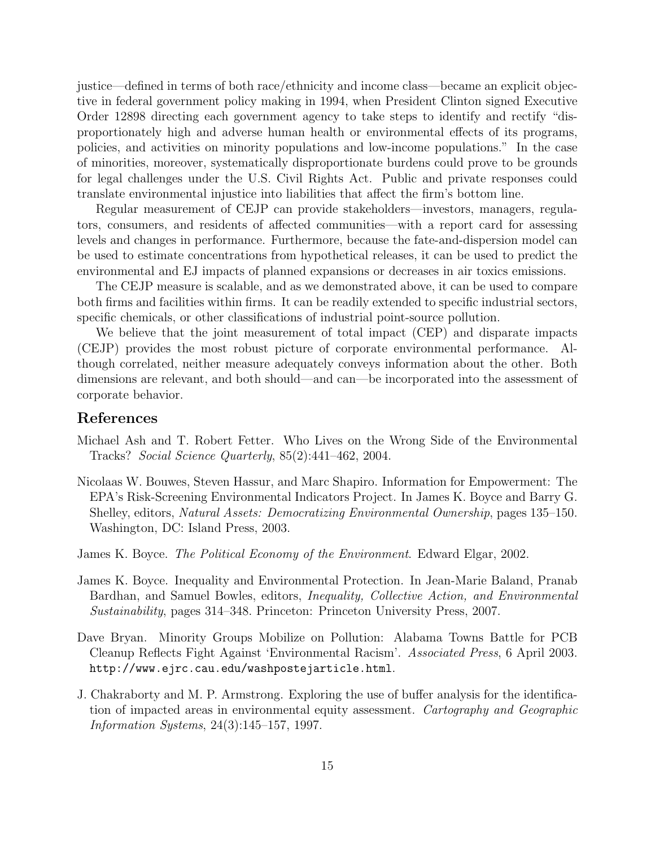justice—defined in terms of both race/ethnicity and income class—became an explicit objective in federal government policy making in 1994, when President Clinton signed Executive Order 12898 directing each government agency to take steps to identify and rectify "disproportionately high and adverse human health or environmental effects of its programs, policies, and activities on minority populations and low-income populations." In the case of minorities, moreover, systematically disproportionate burdens could prove to be grounds for legal challenges under the U.S. Civil Rights Act. Public and private responses could translate environmental injustice into liabilities that affect the firm's bottom line.

Regular measurement of CEJP can provide stakeholders—investors, managers, regulators, consumers, and residents of affected communities—with a report card for assessing levels and changes in performance. Furthermore, because the fate-and-dispersion model can be used to estimate concentrations from hypothetical releases, it can be used to predict the environmental and EJ impacts of planned expansions or decreases in air toxics emissions.

The CEJP measure is scalable, and as we demonstrated above, it can be used to compare both firms and facilities within firms. It can be readily extended to specific industrial sectors, specific chemicals, or other classifications of industrial point-source pollution.

We believe that the joint measurement of total impact (CEP) and disparate impacts (CEJP) provides the most robust picture of corporate environmental performance. Although correlated, neither measure adequately conveys information about the other. Both dimensions are relevant, and both should—and can—be incorporated into the assessment of corporate behavior.

#### References

- <span id="page-16-1"></span>Michael Ash and T. Robert Fetter. Who Lives on the Wrong Side of the Environmental Tracks? Social Science Quarterly, 85(2):441–462, 2004.
- <span id="page-16-3"></span>Nicolaas W. Bouwes, Steven Hassur, and Marc Shapiro. Information for Empowerment: The EPA's Risk-Screening Environmental Indicators Project. In James K. Boyce and Barry G. Shelley, editors, Natural Assets: Democratizing Environmental Ownership, pages 135–150. Washington, DC: Island Press, 2003.
- <span id="page-16-5"></span>James K. Boyce. The Political Economy of the Environment. Edward Elgar, 2002.
- <span id="page-16-4"></span>James K. Boyce. Inequality and Environmental Protection. In Jean-Marie Baland, Pranab Bardhan, and Samuel Bowles, editors, Inequality, Collective Action, and Environmental Sustainability, pages 314–348. Princeton: Princeton University Press, 2007.
- <span id="page-16-0"></span>Dave Bryan. Minority Groups Mobilize on Pollution: Alabama Towns Battle for PCB Cleanup Reflects Fight Against 'Environmental Racism'. Associated Press, 6 April 2003. <http://www.ejrc.cau.edu/washpostejarticle.html>.
- <span id="page-16-2"></span>J. Chakraborty and M. P. Armstrong. Exploring the use of buffer analysis for the identification of impacted areas in environmental equity assessment. Cartography and Geographic Information Systems, 24(3):145–157, 1997.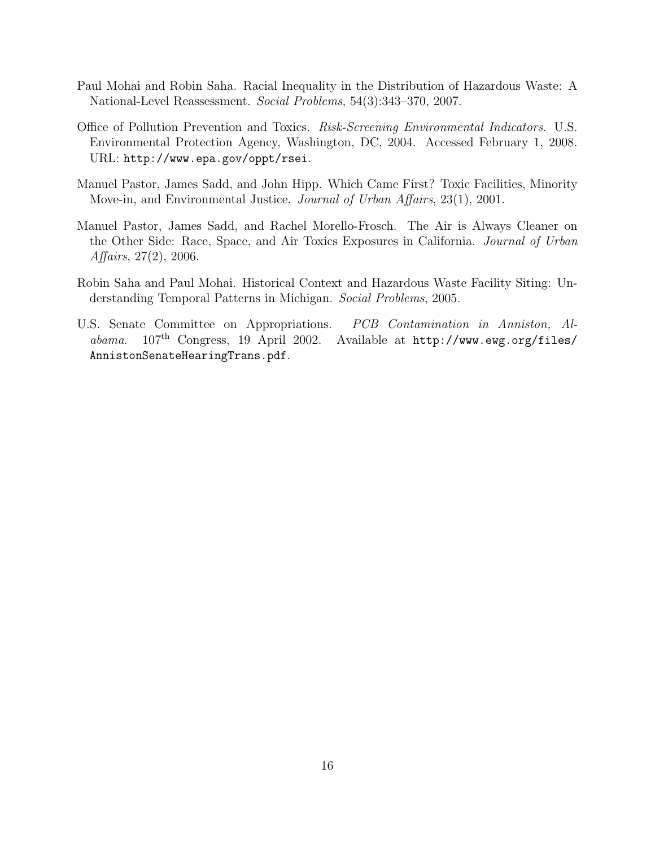- <span id="page-17-2"></span>Paul Mohai and Robin Saha. Racial Inequality in the Distribution of Hazardous Waste: A National-Level Reassessment. Social Problems, 54(3):343–370, 2007.
- <span id="page-17-4"></span>Office of Pollution Prevention and Toxics. Risk-Screening Environmental Indicators. U.S. Environmental Protection Agency, Washington, DC, 2004. Accessed February 1, 2008. URL: <http://www.epa.gov/oppt/rsei>.
- <span id="page-17-5"></span>Manuel Pastor, James Sadd, and John Hipp. Which Came First? Toxic Facilities, Minority Move-in, and Environmental Justice. Journal of Urban Affairs, 23(1), 2001.
- <span id="page-17-1"></span>Manuel Pastor, James Sadd, and Rachel Morello-Frosch. The Air is Always Cleaner on the Other Side: Race, Space, and Air Toxics Exposures in California. Journal of Urban Affairs, 27(2), 2006.
- <span id="page-17-3"></span>Robin Saha and Paul Mohai. Historical Context and Hazardous Waste Facility Siting: Understanding Temporal Patterns in Michigan. Social Problems, 2005.
- <span id="page-17-0"></span>U.S. Senate Committee on Appropriations. PCB Contamination in Anniston, Alabama. 107<sup>th</sup> Congress, 19 April 2002. Available at [http://www.ewg.org/files/](http://www.ewg.org/files/AnnistonSenateHearingTrans.pdf) [AnnistonSenateHearingTrans.pdf](http://www.ewg.org/files/AnnistonSenateHearingTrans.pdf).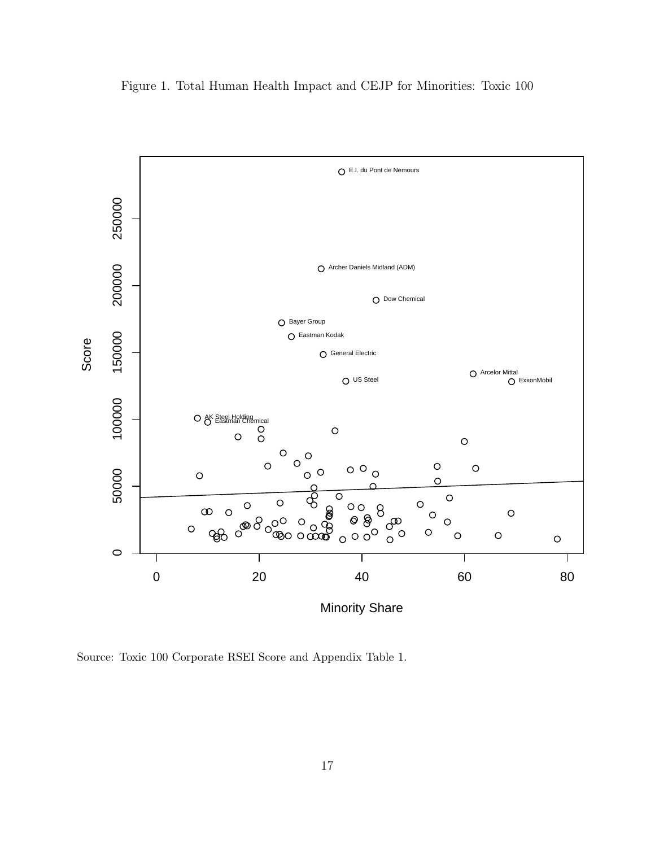

Figure 1. Total Human Health Impact and CEJP for Minorities: Toxic 100

Source: Toxic 100 Corporate RSEI Score and Appendix Table 1.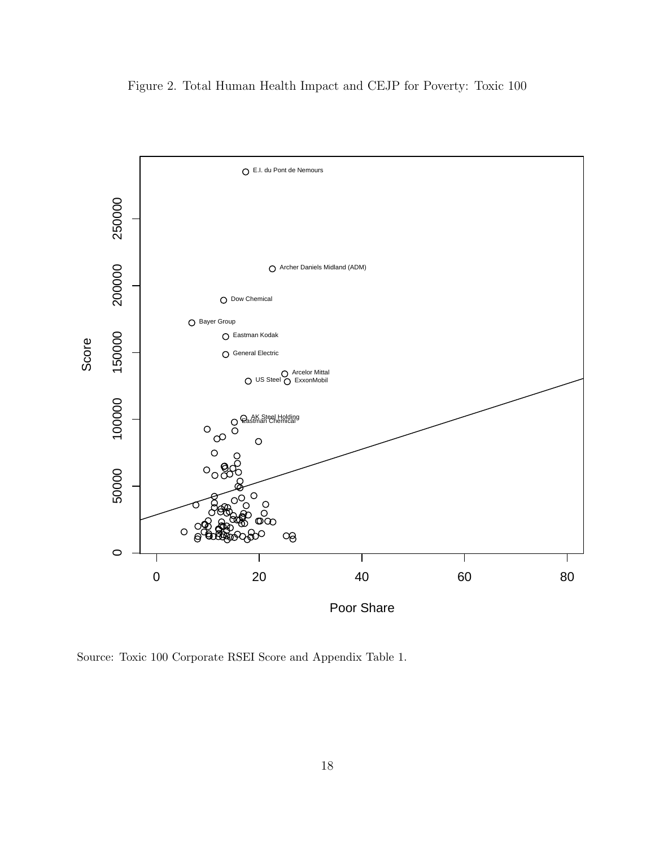

Figure 2. Total Human Health Impact and CEJP for Poverty: Toxic 100

Source: Toxic 100 Corporate RSEI Score and Appendix Table 1.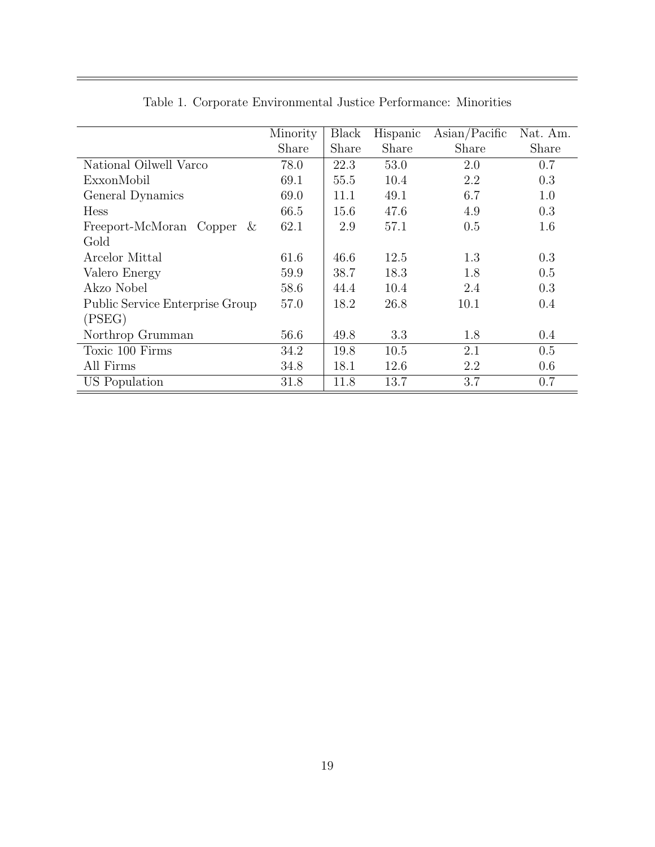|                                 | Minority | <b>Black</b> | Hispanic | $\text{Asian}/\text{Pacific}$ | Nat. Am. |
|---------------------------------|----------|--------------|----------|-------------------------------|----------|
|                                 | Share    | Share        | Share    | Share                         | Share    |
| National Oilwell Varco          | 78.0     | 22.3         | 53.0     | 2.0                           | 0.7      |
| ExxonMobil                      | 69.1     | 55.5         | 10.4     | 2.2                           | 0.3      |
| General Dynamics                | 69.0     | 11.1         | 49.1     | 6.7                           | 1.0      |
| <b>Hess</b>                     | 66.5     | 15.6         | 47.6     | 4.9                           | 0.3      |
| Freeport-McMoran Copper<br>&    | 62.1     | 2.9          | 57.1     | 0.5                           | 1.6      |
| Gold                            |          |              |          |                               |          |
| Arcelor Mittal                  | 61.6     | 46.6         | 12.5     | 1.3                           | 0.3      |
| Valero Energy                   | 59.9     | 38.7         | 18.3     | 1.8                           | 0.5      |
| Akzo Nobel                      | 58.6     | 44.4         | 10.4     | 2.4                           | 0.3      |
| Public Service Enterprise Group | 57.0     | 18.2         | 26.8     | 10.1                          | 0.4      |
| (PSEG)                          |          |              |          |                               |          |
| Northrop Grumman                | 56.6     | 49.8         | 3.3      | 1.8                           | 0.4      |
| Toxic 100 Firms                 | 34.2     | 19.8         | 10.5     | 2.1                           | 0.5      |
| All Firms                       | 34.8     | 18.1         | 12.6     | 2.2                           | 0.6      |
| US Population                   | 31.8     | 11.8         | 13.7     | 3.7                           | 0.7      |

|  | Table 1. Corporate Environmental Justice Performance: Minorities |  |  |
|--|------------------------------------------------------------------|--|--|
|  |                                                                  |  |  |

 $\overline{\phantom{0}}$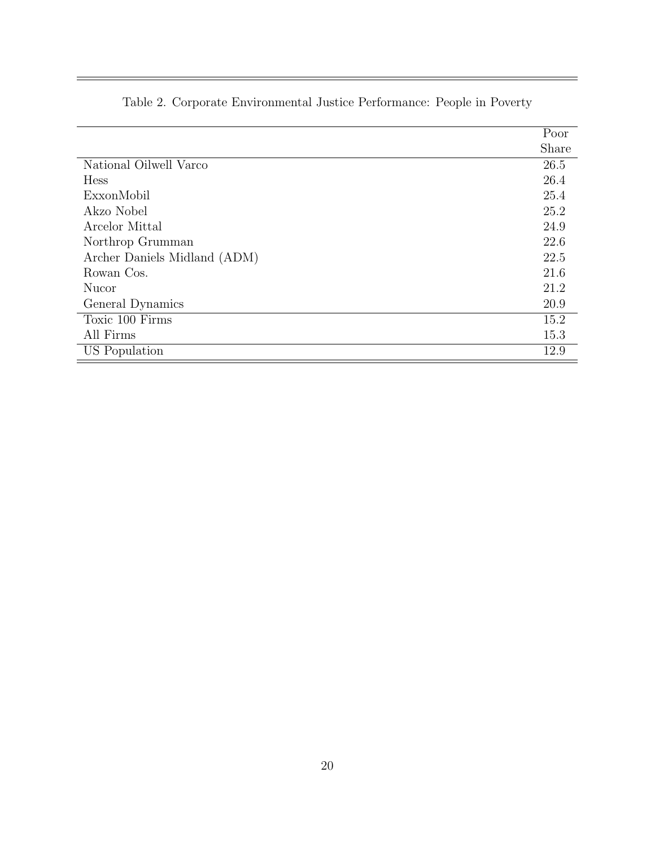|                              | Poor  |
|------------------------------|-------|
|                              | Share |
| National Oilwell Varco       | 26.5  |
| <b>Hess</b>                  | 26.4  |
| ExxonMobil                   | 25.4  |
| Akzo Nobel                   | 25.2  |
| Arcelor Mittal               | 24.9  |
| Northrop Grumman             | 22.6  |
| Archer Daniels Midland (ADM) | 22.5  |
| Rowan Cos.                   | 21.6  |
| Nucor                        | 21.2  |
| General Dynamics             | 20.9  |
| Toxic 100 Firms              | 15.2  |
| All Firms                    | 15.3  |
| US Population                | 12.9  |

## Table 2. Corporate Environmental Justice Performance: People in Poverty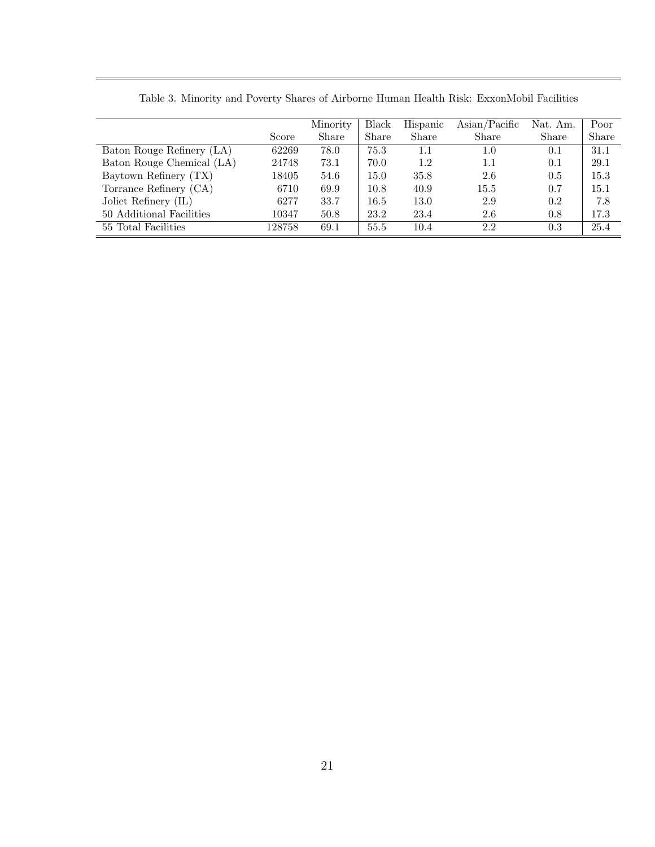|                           |        | Minority | Black | Hispanic | $\text{Asian}/\text{Pacific}$ | Nat. Am. | Poor  |
|---------------------------|--------|----------|-------|----------|-------------------------------|----------|-------|
|                           | Score  | Share    | Share | Share    | Share                         | Share    | Share |
| Baton Rouge Refinery (LA) | 62269  | 78.0     | 75.3  | $1.1\,$  | $1.0\,$                       | 0.1      | 31.1  |
| Baton Rouge Chemical (LA) | 24748  | 73.1     | 70.0  | 1.2      | $1.1\,$                       | 0.1      | 29.1  |
| Baytown Refinery (TX)     | 18405  | 54.6     | 15.0  | 35.8     | 2.6                           | 0.5      | 15.3  |
| Torrance Refinery (CA)    | 6710   | 69.9     | 10.8  | 40.9     | 15.5                          | 0.7      | 15.1  |
| Joliet Refinery (IL)      | 6277   | 33.7     | 16.5  | 13.0     | 2.9                           | 0.2      | 7.8   |
| 50 Additional Facilities  | 10347  | 50.8     | 23.2  | 23.4     | 2.6                           | 0.8      | 17.3  |
| 55 Total Facilities       | 128758 | 69.1     | 55.5  | 10.4     | 2.2                           | 0.3      | 25.4  |

Table 3. Minority and Poverty Shares of Airborne Human Health Risk: ExxonMobil Facilities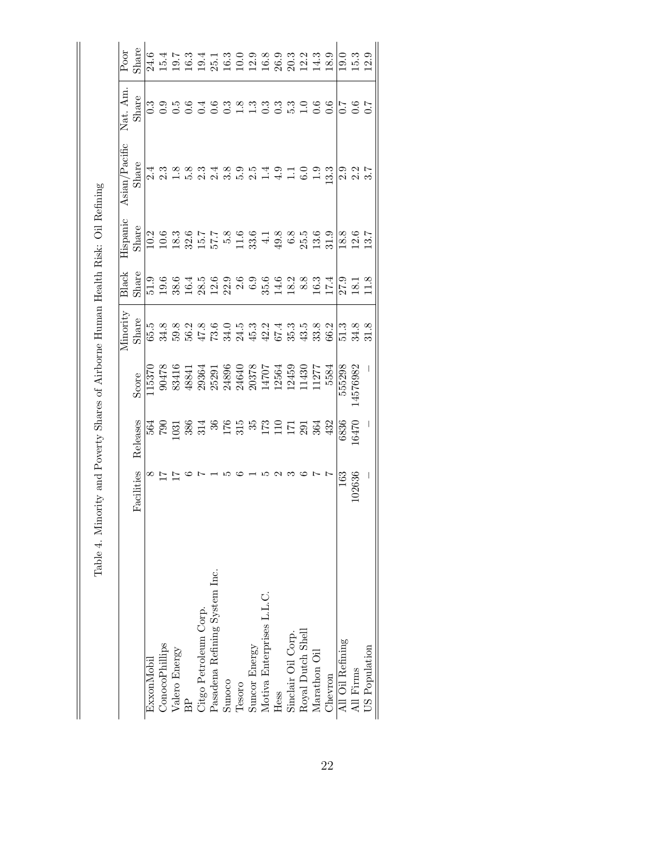| Poor          | Share      |            |                       |               |        |                       |                               |        |        |                                                                                                                                                                                                                                                                                                                   |                           |      |                    |                   |              |         |                  |                     |               |
|---------------|------------|------------|-----------------------|---------------|--------|-----------------------|-------------------------------|--------|--------|-------------------------------------------------------------------------------------------------------------------------------------------------------------------------------------------------------------------------------------------------------------------------------------------------------------------|---------------------------|------|--------------------|-------------------|--------------|---------|------------------|---------------------|---------------|
| Nat. Am.      | Share      |            |                       |               |        |                       |                               |        |        |                                                                                                                                                                                                                                                                                                                   |                           |      |                    |                   |              |         |                  |                     |               |
| Asian/Pacific | Share      |            |                       |               |        |                       |                               |        |        |                                                                                                                                                                                                                                                                                                                   |                           |      |                    |                   |              |         | 0.217            |                     |               |
| Hispanic      | Share      |            |                       |               |        |                       |                               |        |        |                                                                                                                                                                                                                                                                                                                   |                           |      |                    |                   |              |         |                  |                     |               |
| Black         | Share      |            |                       |               |        |                       |                               |        |        |                                                                                                                                                                                                                                                                                                                   |                           |      |                    |                   |              |         |                  |                     |               |
| Vinority      | Share      |            |                       |               |        |                       |                               |        |        |                                                                                                                                                                                                                                                                                                                   |                           |      |                    |                   |              |         |                  | 5.3.3.3.<br>5.3.5.5 |               |
|               | Score      | 15370      |                       |               |        |                       |                               |        |        | 90478<br>83416<br>83453 43856<br>4885 23586<br>2364 2364<br>2364 2364<br>2364 2364<br>2453<br>2453 2453<br>2453<br>2453 2453                                                                                                                                                                                      |                           |      |                    |                   |              | 5584    | 555298           | 4576982             |               |
|               | Releases   |            |                       |               |        |                       |                               |        |        | $\begin{array}{l} 564 \\ 560 \\ 760 \\ 870 \\ 981 \\ 981 \\ 981 \\ 982 \\ 1991 \\ 992 \\ 1992 \\ 1993 \\ 1994 \\ 1991 \\ 1992 \\ 1993 \\ 1994 \\ 1991 \\ 1992 \\ 1993 \\ 1994 \\ 1992 \\ 1993 \\ 1994 \\ 1994 \\ 1994 \\ 1994 \\ 1994 \\ 1994 \\ 1994 \\ 1994 \\ 1994 \\ 1994 \\ 1994 \\ 1994 \\ 1994 \\ 1994 \\$ |                           |      |                    |                   |              |         | 6836             | 6470                |               |
|               | Facilities |            |                       |               |        |                       |                               |        |        |                                                                                                                                                                                                                                                                                                                   |                           |      |                    |                   |              |         | 163              | 02636               |               |
|               |            | ExxonMobil | <b>ConocoPhillips</b> | Valero Energy | BP<br> | Citgo Petroleum Corp. | Pasadena Refining System Inc. | Sunoco | Tesoro | Suncor Energy                                                                                                                                                                                                                                                                                                     | Motiva Enterprises L.L.C. | Hess | Sinclair Oil Corp. | Royal Dutch Shell | Marathon Oil | Chevron | All Oil Refining | All Firms           | US Population |

Table 4. Minority and Poverty Shares of Airborne Human Health Risk: Oil Refining Table 4. Minority and Poverty Shares of Airborne Human Health Risk: Oil Refining

 $\mathbb{I}$ 

 $\parallel$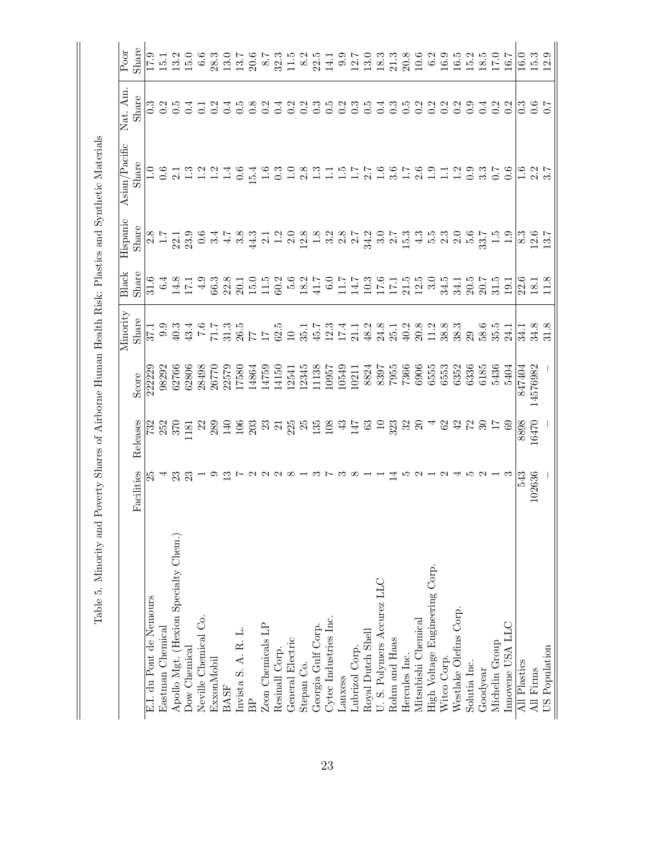|                                      |              |                                                 |          | Minority                             | Black                   | Hispanic                                                                                                        | Asian/Pacific       | Nat. Am.             | Poor                                                |
|--------------------------------------|--------------|-------------------------------------------------|----------|--------------------------------------|-------------------------|-----------------------------------------------------------------------------------------------------------------|---------------------|----------------------|-----------------------------------------------------|
|                                      | Facilities   | Releases                                        | Score    | Share                                | Share                   | Share                                                                                                           | Share               | Share                | Share                                               |
| E.I. du Pont de Nemours              |              | 732                                             | 222229   |                                      | 31.6                    |                                                                                                                 |                     |                      | 17.9                                                |
| Eastman Chemical                     |              | 252                                             | 98292    | 6.6                                  | 6.4                     | $\frac{1}{1}$                                                                                                   | 0.6                 |                      | 15.1                                                |
| Apollo Mgt. (Hexion Specialty Chem.) | 23           | 370                                             | 62766    | $\ddot{1}0.3$                        |                         | $22.1$<br>$23.9$                                                                                                |                     | $\ddot{0}$ .         | 13.2                                                |
| Dow Chemical                         | 23           | $\overline{181}$                                | 62806    | 43.4                                 | $14.8$<br>17.1          |                                                                                                                 | 1.3                 | 0.4                  | 15.0                                                |
| Neville Chemical Co.                 |              | $\mathbb{S}^2$                                  | 28498    | $\overline{0}$                       | 4.9                     | $\ddot{0}.\ddot{6}$                                                                                             | 1.2                 | $\overline{C}$       | 6.6                                                 |
| ExxonMobil                           | ⊝            | 289                                             | 26770    | 7.17                                 | 66.3                    | 3.4                                                                                                             | 1.2                 | 0.2                  | 28.3                                                |
| <b>BASF</b>                          | $\mathbb{C}$ |                                                 | 22579    | 31.3                                 | 22.8                    | $\ddot{1}$                                                                                                      | $\frac{4}{11}$      | 0.4                  | 13.0                                                |
| Invista S. A. R. L.                  |              |                                                 | 17580    | 26.5                                 | 20.1                    | 3.8                                                                                                             | 0.6                 | $\ddot{0}$ .         | 13.7                                                |
| $_{\rm BP}$                          |              | $\frac{96}{22}$ $\frac{27}{22}$ $\frac{27}{22}$ | 14864    | 77                                   | $15.0$<br>$11.5$        | 44.3                                                                                                            | 15.4                | $\frac{8}{2}$        | 20.6                                                |
| Zeon Chemicals LP                    |              |                                                 | 14759    | $\overline{11}$                      |                         | 2.1                                                                                                             | $\frac{6}{11}$      | 0.2                  | 2.8                                                 |
| Resinall Corp.                       |              |                                                 | 14150    | 62.5                                 | 60.2                    | 1.2                                                                                                             | $\ddot{0}$          | 0.4                  | 32.3                                                |
| General Electric                     |              |                                                 | 12541    | $\overline{10}$                      | 5.6                     | 2.0                                                                                                             | $\frac{1}{1}$       | 0.2                  | 11.5                                                |
| Stepan Co.                           |              |                                                 | 2345     | 35.1                                 | 18.2                    |                                                                                                                 | 2.8                 | 0.2                  | $\frac{8.2}{5}$                                     |
| Georgia Gulf Corp.                   |              |                                                 | .1138    | 45.7                                 | 41.7                    |                                                                                                                 | 1.3                 | $\ddot{0}$           | 22.5                                                |
| Cytec Industries Inc.                |              |                                                 | 10957    | $12.3$<br>$17.4$                     | 6.0                     |                                                                                                                 |                     | $\ddot{6}$           | 14.1                                                |
| Lanxess                              |              |                                                 | 10549    |                                      |                         |                                                                                                                 | $\frac{5}{1}$       | 0.2                  | 0.9                                                 |
| Lubrizol Corp.                       |              |                                                 | 10211    | 21.1                                 | 1140611550<br>140511512 | $\begin{array}{cccc}\n 3 & 3 & 3 & 3 & 5 & 5 \\  2 & 1 & 3 & 3 & 5 & 5 \\  3 & 4 & 5 & 5 & 5 & 5\n \end{array}$ | $\frac{7}{2.7}$     | andundud<br>20000000 | $\begin{array}{c} 12.7 \\ 13.0 \\ 18.3 \end{array}$ |
| Royal Dutch Shell                    |              | $63\,$                                          | 8824     |                                      |                         |                                                                                                                 |                     |                      |                                                     |
| U. S. Polymers Accurez LLC           |              | $\overline{10}$                                 | 8397     | $48.2$<br>$24.8$<br>$40.2$<br>$40.2$ |                         | 3.0                                                                                                             | $\frac{6}{3.6}$     |                      |                                                     |
| Rohm and Haas                        |              | 323                                             | 7955     |                                      |                         | $2.7$<br>15.3                                                                                                   |                     |                      | $\frac{21.3}{20.8}$                                 |
| Hercules Inc.                        |              | 32                                              | 7366     |                                      |                         |                                                                                                                 | $\frac{1}{2}$ . 6   |                      |                                                     |
| Mitsubishi Chemical                  |              | $\Omega$                                        | 6906     | 20.8                                 |                         | 41 10 10<br>41 10 11                                                                                            |                     |                      | 10.6                                                |
| High Voltage Engineering Corp.       |              |                                                 | 6555     | 11.2                                 |                         |                                                                                                                 | $\frac{0}{1.1}$     |                      | 6.2                                                 |
| Witco Corp.                          |              | 62                                              | 6553     | 38.8                                 | 34.5                    |                                                                                                                 |                     |                      | 16.9                                                |
| Westlake Olefins Corp.               |              | $\frac{2}{3}$                                   | 6352     | 38.3                                 | 34.1                    | 2.0                                                                                                             | 1.2                 | 0.2                  | 16.5                                                |
| Solutia Inc.                         | IJ           | $\mathcal{L}_{\mathcal{I}}$                     | 6336     | 29                                   | 20.5                    | 5.6                                                                                                             |                     | 0.9                  |                                                     |
| Goodyear                             |              | $\overline{\mathcal{E}}$                        | 6185     | $58.6\,$                             | 20.7                    | 33.7                                                                                                            | 0. 9. 9.<br>0. 9. 0 | 0.4                  | $15.3$<br>$18.5$<br>$17.0$                          |
| Michelin Group                       |              |                                                 | 5436     | 35.5                                 | 31.5                    | $\begin{array}{c} 1.5 \\ -1.9 \end{array}$                                                                      |                     | 0.2                  |                                                     |
| Innovene USA LLC                     |              | 69                                              | 5404     | 24.1                                 | 19.1                    |                                                                                                                 | 0.6                 | $0.\overline{2}$     | 16.7                                                |
| All Plastics                         | 543          | 8898                                            | 847404   | -<br>34.                             | 22.6                    | 8.3                                                                                                             | $\frac{6}{1}$       | ී                    | 16.0                                                |
| All Firms                            | 102636       | 16470                                           | 14576982 | 34.8                                 | 18.1                    | $\begin{array}{c} 12.6 \\ 13.7 \end{array}$                                                                     | 2.2                 | $\overline{0.6}$     | 15.3                                                |
| US Population                        |              |                                                 |          |                                      | 11.8                    |                                                                                                                 |                     |                      | 2.9                                                 |

 $\parallel$ 

 $\mathbb{I}$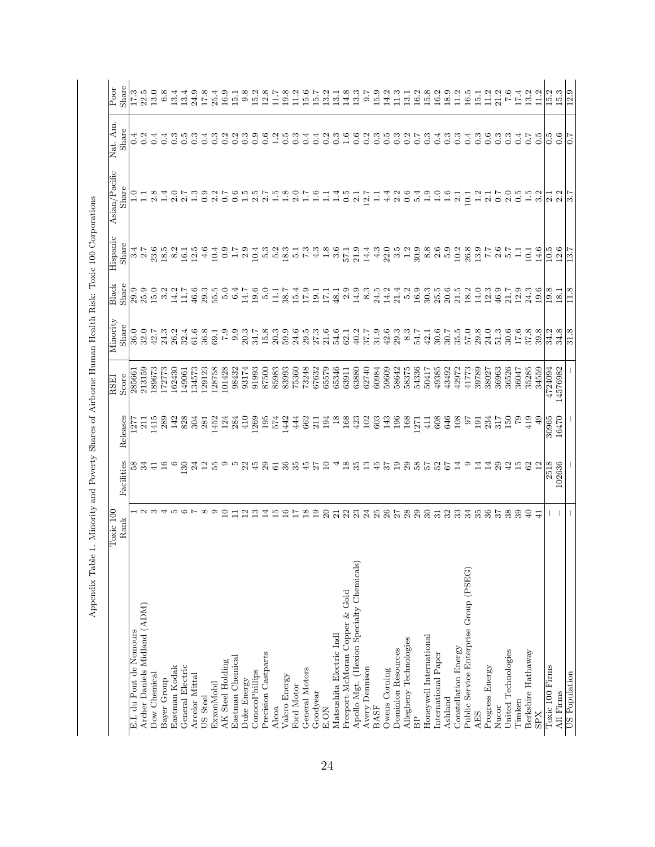| Share<br>$_{\rm Poor}$<br>Nat. Am. | I7.3                    | 22.5                         | 13.0          | 6.8           | 13.4             | 13.4             | 24.9           | 17.8            | 25.4       | 16.9             | 15.1             | 9.8             | 15.2                  | 12.8                | 11.7            | 19.8          | 11.2            | 15.6           | 13.2<br>15.7                | 13.1                     | 14.8                           | 13.3                                     | 0.7              | 15.9        | 14.2          | 11.3                                 | 13.1                   | 16.2         | 15.8                    | 16.2                 | 18.9       | 11.2<br>16.5                                                   | $\overline{15}$ | $\frac{1}{2}$   | 21.2                     |                     |                | $\frac{6}{7}$ | 17.4          | 13.2<br>$\frac{2}{11}$ | 15.3<br>15.2                                                     |
|------------------------------------|-------------------------|------------------------------|---------------|---------------|------------------|------------------|----------------|-----------------|------------|------------------|------------------|-----------------|-----------------------|---------------------|-----------------|---------------|-----------------|----------------|-----------------------------|--------------------------|--------------------------------|------------------------------------------|------------------|-------------|---------------|--------------------------------------|------------------------|--------------|-------------------------|----------------------|------------|----------------------------------------------------------------|-----------------|-----------------|--------------------------|---------------------|----------------|---------------|---------------|------------------------|------------------------------------------------------------------|
| Share                              | 0.4                     | 0.2                          | 0.4           | 0.4           | $0.\overline{3}$ | $\overline{0}$ . | <u>ین</u>      | A.              | က္         |                  | نې<br>ب          |                 | G                     |                     |                 | rć.           | $\frac{3}{2}$   | टं             | 0.2<br>0.4                  | $\ddot{0}$               |                                |                                          | $0.\overline{2}$ | $\ddot{0}$  | юį            | c.                                   | 0.2                    |              | $\ddot{0}$              | टं                   | $\ddot{0}$ | $\ddot{0}$<br>$\ddot{0}.4$                                     | $\ddot{0}$      |                 | $\frac{3}{2}$            | $\frac{3}{2}$       |                |               |               | $\ddot{0}$<br>$\sim 0$ | $\frac{5}{2}$                                                    |
| Asian/Pacific<br>Share             | $\Xi$                   |                              | 2.8           | $\frac{4}{1}$ | 2.0              | 2.7              | $\mathbb{C}$   | 0.9             | 2.2        | 0.7              | $\overline{0}$ . | $\frac{15}{10}$ | 2.5                   | 2.7                 | $\frac{5}{1}$   | 1.8           | 2.0             |                | $\frac{6}{1}$               |                          | 0.5<br>∃ં                      | $\overline{2}$                           | 12.7             | Ξ           | 4.4           | 2.2                                  | 0.6                    | 5.4          | $\frac{0}{1}$           |                      |            | 2.1<br>10.1                                                    | 1.2             | $\overline{21}$ | $\sim 7$                 | 2.0                 |                |               | $\frac{5}{2}$ | $\frac{5}{1}$<br>3.2   | $\Xi$                                                            |
| Hispanic<br>Share                  | $\frac{4}{3}$           | 2.7                          | 23.6          | 18.5          | 8.2              | 16.1             | 12.5           | 4.6             | 10.4       | 0.9              | $\frac{17}{11}$  | 2.9             | 10.4                  | 5.3                 | $\frac{5}{2}$   | 18.3          | $\frac{1}{2}$   | $7.3\,$        | ر.<br>پ                     | $\frac{3.6}{ }$          | 57.1                           | 21.9                                     | 14.4             | 4.3         | 22.0          | $3.\overline{3}$<br>$1.\overline{2}$ |                        | 30.9         | 8.8                     | 2.6<br>$\frac{6}{5}$ |            | 26.8<br>10.2                                                   | 13.9            | $\frac{1}{2}$   | 2.6                      | $\frac{1}{9}$       |                |               | 급             | 14.6<br>$\frac{1}{2}$  | 10.5                                                             |
| Black<br>Share                     | 29.9                    | 25.9                         | 15.0          | 3.2           | 14.2             | 7.11             | 46.6           | 29.3            | 55.5       | 5.0              | 6.4              | 14.7            | 19.6                  | 5.0                 | $\overline{11}$ | 38.7          | 15.4            | 17.9           | $\frac{19.1}{17.1}$         | 48.1                     | 2.9                            | 14.9                                     | $8.3\,$          | 24.5        | 14.2          | 21.4                                 | $\frac{5}{2}$          | 16.9         | 30.3                    | 25.5                 | 20.6       | 21.5<br>18.2                                                   | 14.0            | 12.3            | 46.9                     | 21.7                | 12.9           |               |               | 24.3<br>0.61           | 19.8                                                             |
| Minority<br>Share                  | $\overline{36.0}$       | 32.0                         | 42.7          | 24.3          | 26.2             | 32.4             | 61.6           | 36.8            | 69.1       | 6.7              | 9.9              | 20.3            | 34.7                  | 15.8                | 20.3            | 59.9          | 24.6            | 29.5           | 27.3<br>21.6                | 54.6                     | 62.1                           | 40.2                                     | 37.7             | 31.9        | 42.6          | 29.3                                 | $8.3\,$                | 54.7         | 42.1                    | $30.6\,$             | 30.7       | 57.0<br>35.5                                                   | 29.8            | 24.0            | 51.3                     | 30.6                | 17.6           |               |               | 37.8<br>39.8           | 34.2                                                             |
| Score<br>ESSEI                     | 285661                  | 213159                       | 189673        | 172773        | 162430           | 149061           | 134573         | 129123          | 128758     | 101428           | 98432            | 93174           | 91993                 | 87500               | 85983           | 83993         | 75360           | 73248          | 67632<br>65579              | 65346                    | 63911                          | 63880                                    | 62740            | 60984       | 59609         | 58642                                | 58375                  | 54336        | 50417                   | 49385                | 43492      | 42972<br>41773                                                 | 39789           | 38027           | 36963                    | 36526               | 36047          |               |               | 35285<br>34559         | 4724094                                                          |
| Releases                           | -127                    | 211                          | 415           | 289           | 142              | 828              | 304            | 281             | 1452       | 124              | 284              | 410             | 1269                  | 195                 | 574             | 1442          | 444             | 662            | 194<br>211                  | $\frac{8}{18}$           | 168                            | 423                                      | 102              | 603         | 143           | 196                                  | 168                    | 1271         | 411                     | 608                  | 646        | 108<br>67                                                      | 191             | 234             | 317                      | 150                 |                |               |               | $^{49}$<br>419         | 30965                                                            |
| Facilities                         | 58                      | 34                           | $\frac{1}{4}$ | 16            |                  | 130              | 24             | $\overline{12}$ | 55         |                  |                  | 22              | 45                    | 29                  | $\mathbbm{G}$   | 36            | 35              | 45             | $\Xi$<br>27                 |                          | $\frac{8}{18}$                 | 35                                       | 13               | 45          | 57            | 19                                   | $29\,$                 | $^{58}$      | 75                      | 52                   | 57         | C<br>$\overline{14}$                                           | 14              | 4               | 29                       | 42                  | $\frac{15}{2}$ |               |               | $\overline{12}$<br>62  | 2518                                                             |
| Toxic <sub>100</sub><br>Rank       |                         | പ ന                          |               |               |                  |                  |                |                 | ಾ          | $\Xi$            | $\Box$           | $\frac{2}{1}$   | 13                    | $\overline{14}$     | $\frac{15}{2}$  | 16            | $\overline{17}$ | 18             | $\overline{19}$<br>$\Omega$ | $\overline{21}$          | 22                             | 23                                       | 24               | 25          | $26\,$        | 72                                   | 28                     | 29           | $30\,$                  | $\overline{31}$      | 32         | 33<br>34                                                       | 35              | 36              | 57                       | 38                  | 39             |               |               | $\Theta$<br>$\Xi$      |                                                                  |
|                                    | E.I. du Pont de Nemours | Archer Daniels Midland (ADM) | Dow Chemical  | Bayer Group   | Eastman Kodak    | General Electric | Arcelor Mittal | US Steel        | ExxonMobil | AK Steel Holding | Eastman Chemical | Duke Energy     | <b>ConocoPhillips</b> | Precision Castparts | Alcoa           | Valero Energy | Ford Motor      | General Motors | Goodyear<br>E.ON            | Matsushita Electric Indl | Freeport-McMoran Copper & Gold | Apollo Mgt. (Hexion Specialty Chemicals) | Avery Dennison   | <b>BASF</b> | Owens Corning | Dominion Resources                   | Allegheny Technologies | $\mathbf{B}$ | Honeywell International | International Paper  | Ashland    | Public Service Enterprise Group (PSEG)<br>Constellation Energy | <b>AES</b>      |                 | Progress Energy<br>Nucor | United Technologies | Timken         |               |               |                        | Berkshire Hathaway<br>Toxic 100 Firms<br>All Firms<br><b>SPX</b> |

Appendix Table 1. Minority and Poverty Shares of Airborne Human Health Risk: Toxic 100 Corporations Appendix Table 1. Minority and Poverty Shares of Airborne Human Health Risk: Toxic 100 Corporations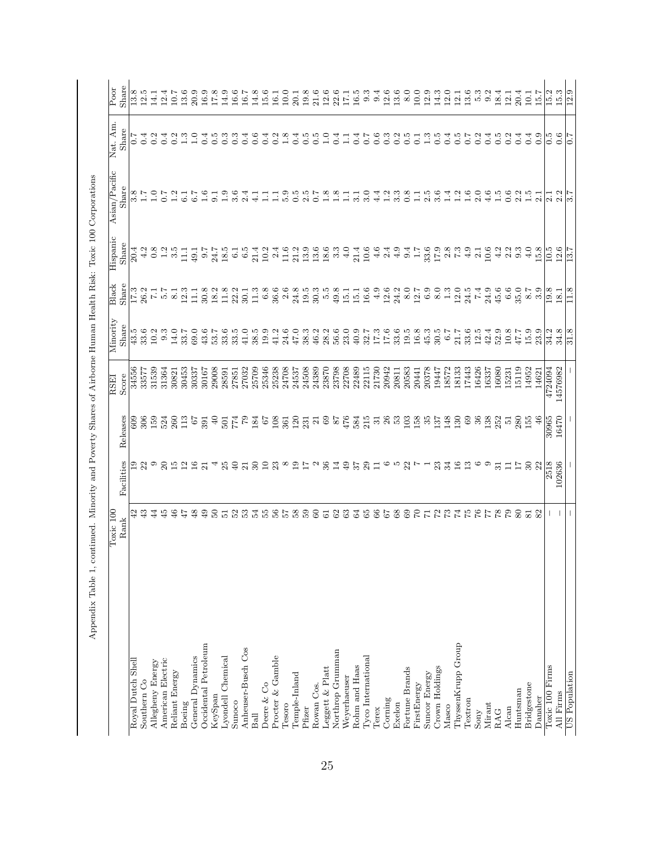|                      | Toxic 100<br>Rank                                                                                                                                                                                                                                                                                   | Facilities                                                          | Releases                                  | Score<br><b>RSEI</b> | Minority<br>Share                           | Black<br>Share                            | Hispanic<br>Share  | Asian/Pacific<br>Share | Nat. Am<br>$_{\rm{Share}}$ | Share<br>$\overline{P}$ oor |
|----------------------|-----------------------------------------------------------------------------------------------------------------------------------------------------------------------------------------------------------------------------------------------------------------------------------------------------|---------------------------------------------------------------------|-------------------------------------------|----------------------|---------------------------------------------|-------------------------------------------|--------------------|------------------------|----------------------------|-----------------------------|
| Royal Dutch Shell    | 42                                                                                                                                                                                                                                                                                                  |                                                                     | 80                                        | 34556                | 43.5                                        | $\overline{17.3}$                         | 20.4               |                        | 7.0                        | 13.8                        |
| Southern Co          | 43                                                                                                                                                                                                                                                                                                  |                                                                     | 306                                       | 33577                | 33.6                                        | 26.2                                      | 4.2                | $3.8$<br>1.7           |                            | 12.5                        |
| Allegheny Energy     | 44                                                                                                                                                                                                                                                                                                  | 230                                                                 | 159                                       | 31539                | 10.2                                        | $\overline{1}$                            | 0.8                | $\frac{0}{1}$          | 0.2                        | 14.1                        |
| American Electric    | 45                                                                                                                                                                                                                                                                                                  |                                                                     | 524                                       | 31364                | 9.3                                         | $\frac{1}{2}$                             |                    |                        | 0.4                        | 12.4                        |
| Reliant Energy       | 46                                                                                                                                                                                                                                                                                                  | $20$<br>$15$                                                        | 260                                       | 30821                | 14.0                                        | $\overline{8}$ .                          | $\frac{2}{3}$ .5   | $\overline{12}$        | Ċ,                         | 10.7                        |
| Boeing               | 47                                                                                                                                                                                                                                                                                                  | $\overline{12}$                                                     | 113                                       | 30453                | 33.7                                        | 12.3                                      | $\frac{1}{11}$     | 6.1                    | 1.3                        | 13.6                        |
| General Dynamics     | 48                                                                                                                                                                                                                                                                                                  | $\begin{array}{c} 16 \\ 21 \end{array}$                             | $^{75}$                                   | 30337                | 69.0                                        | $\Xi$                                     | 49.1               |                        | $\frac{0}{1}$              | $20.9\,$                    |
| Occidental Petroleum | 49                                                                                                                                                                                                                                                                                                  |                                                                     | 391                                       | 30167                | 43.6                                        | 30.8                                      | $-1.6$             | $\frac{6}{1}$          | $\ddot{0}.4$               | 16.9                        |
| KeySpan              | $50\,$                                                                                                                                                                                                                                                                                              |                                                                     | $\Theta$                                  | 29008                | 53.7                                        | 18.2                                      | 24.7               | $\overline{9.1}$       | $\frac{5}{2}$              | $17.8\,$                    |
| Lyondell Chemical    | $\overline{51}$                                                                                                                                                                                                                                                                                     | 25                                                                  | 501                                       | 28591                | 33.6                                        | 11.8                                      | 18.5               | 1.9                    | $0.\overline{3}$           | 14.9                        |
| Sunoco               | 52                                                                                                                                                                                                                                                                                                  | $\frac{1}{2}$                                                       | $^{6L}_{\rm 12}$                          | 27851                | 33.5                                        | $22.3$<br>$30.1$<br>$11.3$                | $\overline{6}$     | 3.6                    | $\ddot{0}$                 | 16.6                        |
| Anheuser-Busch Cos   | 53                                                                                                                                                                                                                                                                                                  |                                                                     |                                           | 27032                | 41.0                                        |                                           | $\frac{5}{6}$      | 2.4                    | 0.4                        | 16.7                        |
| Ball                 | 54 p                                                                                                                                                                                                                                                                                                | 30                                                                  | 184                                       | 25709                | 38.5                                        |                                           | 21.4               | $\frac{1}{4}$          | $\overline{0}$ .6          | 14.8                        |
| Deere & Co           |                                                                                                                                                                                                                                                                                                     | $\overline{10}$                                                     | 67                                        | 25346                | 19.9                                        | $6.8\,$                                   | 10.2               | $\Xi$                  |                            | 15.6                        |
| Procter & Gamble     | 5678                                                                                                                                                                                                                                                                                                | $23\,$                                                              | 108                                       | 25238                | 41.2                                        | 36.6                                      | 2.4                | Ξ                      |                            | 16.1                        |
| Tesoro               |                                                                                                                                                                                                                                                                                                     |                                                                     | 361                                       | 24708                | 24.6                                        | $2.6\,$                                   | 11.6               | 5.9                    | $\frac{8}{1}$              | 10.0                        |
| Temple-Inland        |                                                                                                                                                                                                                                                                                                     |                                                                     | 120                                       | 24537                | 47.0                                        | 24.8                                      | 21.2               | 0.5                    |                            | 20.1                        |
| Pfizer               | 59                                                                                                                                                                                                                                                                                                  | $\begin{array}{c}\n\infty & \infty \\ \infty & \infty\n\end{array}$ | 231                                       | 24508                | 38.3                                        | 19.5                                      | 13.9               | $2.5$<br>0.7           | $\ddot{0}$                 | 19.8                        |
| Rowan Cos.           | $60\,$                                                                                                                                                                                                                                                                                              | $\mathfrak{a}$                                                      |                                           | 24389                | 46.2                                        |                                           | 13.6               |                        | 0.5                        | 21.6                        |
| Leggett & Platt      | $\overline{6}$                                                                                                                                                                                                                                                                                      | $36\,$                                                              | 387                                       | 23870                | 28.2                                        | $\begin{array}{c} 3.5 \\ 5.5 \end{array}$ |                    |                        | $\overline{1.0}$           |                             |
| Northrop Grumman     | 62                                                                                                                                                                                                                                                                                                  | 14                                                                  |                                           | 23798                | 56.6                                        | 49.8                                      | $\frac{18.6}{3.3}$ | $\frac{8}{1.8}$        | 0.4                        | $\frac{12.6}{22.6}$         |
| Weyerhaeuser         | $63\,$                                                                                                                                                                                                                                                                                              | 49                                                                  | 476                                       | 22708                | 23.0                                        |                                           | 4.0                | $\Box$                 | $\Xi$                      | 17.1                        |
| Rohm and Haas        | 64                                                                                                                                                                                                                                                                                                  | 57                                                                  | 584<br>215                                | 22489                | $40.9\,$                                    | 15.1                                      | 21.4               | 3.1                    | 0.4                        | 16.5                        |
| Tyco International   | $65^{\circ}$                                                                                                                                                                                                                                                                                        | 29                                                                  |                                           | 22115                | 32.7                                        | 16.6                                      | 10.6               | 3.0                    | $\overline{0.7}$           | 9.3                         |
| Terex                | 66                                                                                                                                                                                                                                                                                                  | $\Box$                                                              |                                           | 21730                | 17.3                                        | 4.9                                       | 4.6                | 4.4                    | 0.6                        | 9.4                         |
| Coning               | 67                                                                                                                                                                                                                                                                                                  | $\circ$                                                             | $\frac{1}{2}$ $\frac{1}{2}$ $\frac{1}{2}$ | 20942                | $17.6\,$                                    | $12.6$<br>$24.2$                          | 2.4                | 1.2                    | $0.\overline{3}$           | 12.6                        |
| Exelon               | $_{68}$                                                                                                                                                                                                                                                                                             | ю                                                                   |                                           | 20811                | 33.6                                        |                                           | 4.9                | $3.\overline{3}$       | 0.2                        | 13.6                        |
| Fortune Brands       | 69                                                                                                                                                                                                                                                                                                  | 22                                                                  | $\begin{array}{c} 103 \\ 158 \end{array}$ | 20583                | 19.5                                        | $8.0\,$                                   | 9.4                | $0.\overline{8}$       | $\overline{0}$ .           | 8.0                         |
| FirstEnergy          | $\Gamma$                                                                                                                                                                                                                                                                                            |                                                                     |                                           | 20441                | $16.8\,$                                    | 12.7                                      | $\ddot{1}$         | $\Box$                 | $\overline{0}$             | 10.0                        |
| Suncor Energy        |                                                                                                                                                                                                                                                                                                     |                                                                     | 35                                        | 20378                | $45.3$                                      | 6.9                                       | $33.6$<br>17.9     | 2.5                    | 1.3                        | 12.9                        |
| Crown Holdings       | $\begin{array}{c} 87.78 \\ 17.78 \\ 17.79 \\ 17.79 \\ 17.79 \\ 18.79 \\ 19.73 \\ 19.73 \\ 19.73 \\ 19.73 \\ 19.73 \\ 19.73 \\ 19.73 \\ 19.73 \\ 19.73 \\ 19.73 \\ 19.73 \\ 19.73 \\ 19.73 \\ 19.73 \\ 19.73 \\ 19.73 \\ 19.73 \\ 19.73 \\ 19.73 \\ 19.73 \\ 19.73 \\ 19.73 \\ 19.73 \\ 19.73 \\ 19$ | $23\,$                                                              | 137                                       | 19447                | 30.5                                        | 8.0                                       |                    | 3.6                    | $0.\overline{5}$           | 14.3                        |
| Masco                |                                                                                                                                                                                                                                                                                                     | 34                                                                  | 148                                       | 18572                | $6.7$<br>21.7                               | 1.3                                       | $2.8$<br>7.3       | 1.4                    | 0.4                        | 12.0                        |
| ThyssenKrupp Group   |                                                                                                                                                                                                                                                                                                     | 16                                                                  | 130                                       | 8133                 |                                             | 12.0                                      |                    | $\frac{2}{1}$          | $\ddot{0}$                 | $\frac{12.1}{13.6}$         |
| Textron              |                                                                                                                                                                                                                                                                                                     | $\frac{3}{1}$                                                       | $_{69}$                                   | 17443                | $\begin{array}{c} 33.6 \\ 12.5 \end{array}$ | 24.5                                      | 4.9                | 1.6                    | $\overline{0.7}$           |                             |
| Sony                 |                                                                                                                                                                                                                                                                                                     | $\circ$                                                             |                                           | 16426                |                                             | 7.4                                       | 2.1                | 2.0                    | $0.\overline{2}$           | 5.3                         |
| Mirant               |                                                                                                                                                                                                                                                                                                     | $\circ$                                                             | $368$<br>$138$<br>$252$                   | 16337                | 42.4                                        | 24.9                                      | 10.6               | 4.6                    | 0.4                        | 9.2                         |
| RAG                  |                                                                                                                                                                                                                                                                                                     | $\overline{31}$                                                     |                                           | 16080                | 52.9                                        | 45.6                                      | 4.2                | 1.5                    | $\ddot{0}$                 | 18.4                        |
| Alcan                | 67                                                                                                                                                                                                                                                                                                  | $\Box$                                                              | $\overline{5}$                            | 15231                | $10.8$                                      | 6.6                                       | 2.2                | 0.6                    | 0.2                        | 12.1                        |
| $H$ untsman          | 80                                                                                                                                                                                                                                                                                                  | $\overline{17}$                                                     | 280                                       | 15119                | 47.7                                        | 35.0                                      | 9.3                | 2.2                    | 0.4                        | 20.4                        |
| Bridgestone          | $\overline{81}$                                                                                                                                                                                                                                                                                     | 30                                                                  | 155                                       | 14952                | 15.9                                        | 78                                        | 4.0                | $\frac{1}{10}$         | 0.4                        | 10.1                        |
| Danaher              |                                                                                                                                                                                                                                                                                                     | 22                                                                  | 46                                        | 14621                | 23.9                                        | 3.9                                       | 15.8               | 2.1                    | 0.9                        | 15.7                        |
| Toxic 100 Firms      |                                                                                                                                                                                                                                                                                                     | 2518                                                                | 30965                                     | 4724094              | 34.2                                        | 19.8                                      | 10.5               | $\overline{2.1}$       | $0.\overline{5}$           | $\frac{3}{15.3}$            |
| All Firms            |                                                                                                                                                                                                                                                                                                     | 102636                                                              | 16470                                     | 14576982             | 34.8                                        | 18.1                                      | 12.6               | 2.2                    | 0.6                        |                             |
| US Population        |                                                                                                                                                                                                                                                                                                     |                                                                     |                                           |                      | 31.8                                        | $^{1.8}$                                  | 13.7               | $\frac{27}{5}$         | 7<br>0                     | 12.9                        |